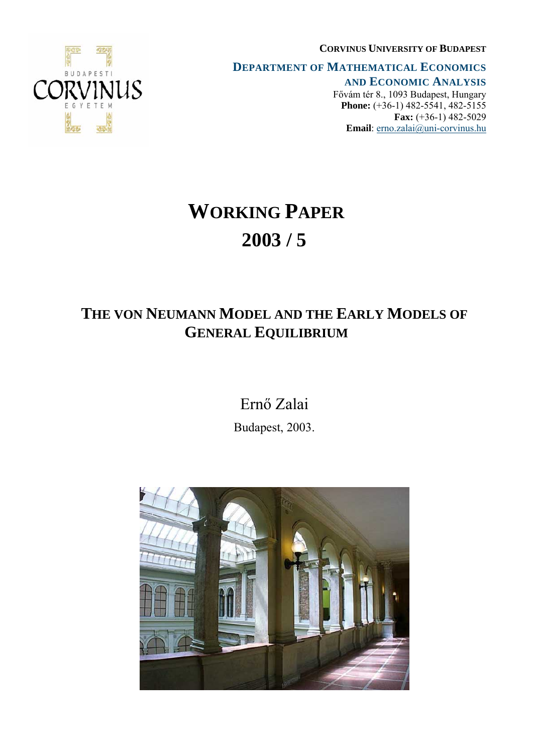

### **DEPARTMENT OF MATHEMATICAL ECONOMICS AND ECONOMIC ANALYSIS** Fővám tér 8., 1093 Budapest, Hungary **Phone:** (+36-1) 482-5541, 482-5155 **Fax:** (+36-1) 482-5029 **Email**: erno.zalai@uni-corvinus.hu

# **WORKING PAPER 2003 / 5**

# **THE VON NEUMANN MODEL AND THE EARLY MODELS OF GENERAL EQUILIBRIUM**

Ernő Zalai Budapest, 2003.



**CORVINUS UNIVERSITY OF BUDAPEST**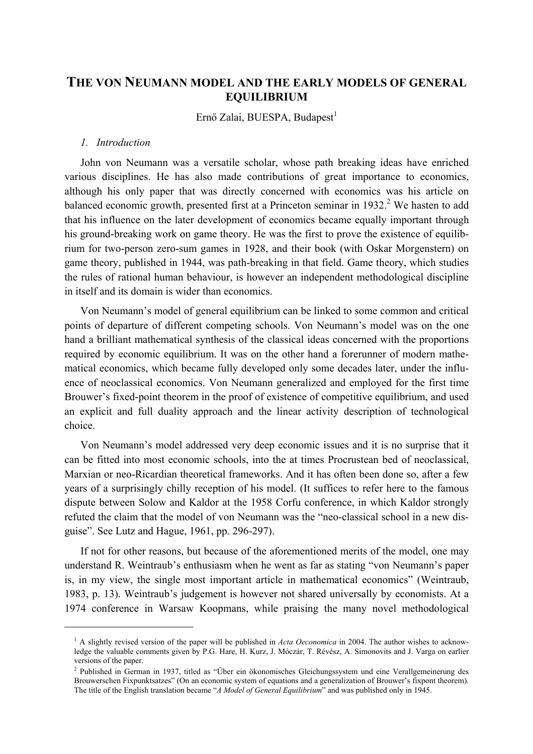### **THE VON NEUMANN MODEL AND THE EARLY MODELS OF GENERAL EQUILIBRIUM**

Ernő Zalai, BUESPA, Budapest $<sup>1</sup>$ </sup>

#### *1. Introduction*

 $\overline{a}$ 

John von Neumann was a versatile scholar, whose path breaking ideas have enriched various disciplines. He has also made contributions of great importance to economics, although his only paper that was directly concerned with economics was his article on balanced economic growth, presented first at a Princeton seminar in  $1932$ .<sup>2</sup> We hasten to add that his influence on the later development of economics became equally important through his ground-breaking work on game theory. He was the first to prove the existence of equilibrium for two-person zero-sum games in 1928, and their book (with Oskar Morgenstern) on game theory, published in 1944, was path-breaking in that field. Game theory, which studies the rules of rational human behaviour, is however an independent methodological discipline in itself and its domain is wider than economics.

Von Neumann's model of general equilibrium can be linked to some common and critical points of departure of different competing schools. Von Neumann's model was on the one hand a brilliant mathematical synthesis of the classical ideas concerned with the proportions required by economic equilibrium. It was on the other hand a forerunner of modern mathematical economics, which became fully developed only some decades later, under the influence of neoclassical economics. Von Neumann generalized and employed for the first time Brouwer's fixed-point theorem in the proof of existence of competitive equilibrium, and used an explicit and full duality approach and the linear activity description of technological choice.

Von Neumann's model addressed very deep economic issues and it is no surprise that it can be fitted into most economic schools, into the at times Procrustean bed of neoclassical, Marxian or neo-Ricardian theoretical frameworks. And it has often been done so, after a few years of a surprisingly chilly reception of his model. (It suffices to refer here to the famous dispute between Solow and Kaldor at the 1958 Corfu conference, in which Kaldor strongly refuted the claim that the model of von Neumann was the "neo-classical school in a new disguise". See Lutz and Hague, 1961, pp. 296-297).

If not for other reasons, but because of the aforementioned merits of the model, one may understand R. Weintraub's enthusiasm when he went as far as stating "von Neumann's paper is, in my view, the single most important article in mathematical economics" (Weintraub, 1983, p. 13). Weintraub's judgement is however not shared universally by economists. At a 1974 conference in Warsaw Koopmans, while praising the many novel methodological

<sup>&</sup>lt;sup>1</sup> A slightly revised version of the paper will be published in *Acta Oeconomica* in 2004. The author wishes to acknowledge the valuable comments given by P.G. Hare, H. Kurz, J. Móczár, T. Révész, A. Simonovits and J. Varga on earlier versions of the paper.

<sup>&</sup>lt;sup>2</sup> Published in German in 1937, titled as "Über ein ökonomisches Gleichungssystem und eine Verallgemeinerung des Brouwerschen Fixpunktsatzes" (On an economic system of equations and a generalization of Brouwer's fixpont theorem). The title of the English translation became "*A Model of General Equilibrium*" and was published only in 1945.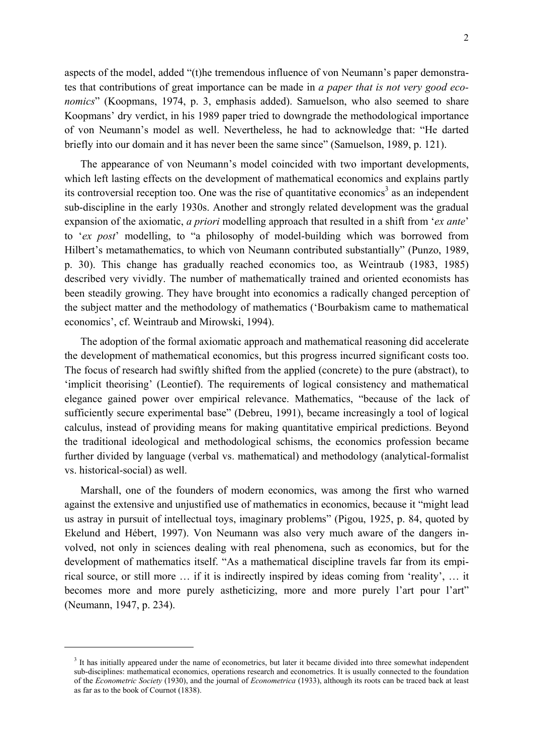aspects of the model, added "(t)he tremendous influence of von Neumann's paper demonstrates that contributions of great importance can be made in *a paper that is not very good economics*" (Koopmans, 1974, p. 3, emphasis added). Samuelson, who also seemed to share Koopmans' dry verdict, in his 1989 paper tried to downgrade the methodological importance of von Neumann's model as well. Nevertheless, he had to acknowledge that: "He darted briefly into our domain and it has never been the same since" (Samuelson, 1989, p. 121).

The appearance of von Neumann's model coincided with two important developments, which left lasting effects on the development of mathematical economics and explains partly its controversial reception too. One was the rise of quantitative economics<sup>3</sup> as an independent sub-discipline in the early 1930s. Another and strongly related development was the gradual expansion of the axiomatic, *a priori* modelling approach that resulted in a shift from '*ex ante*' to '*ex post*' modelling, to "a philosophy of model-building which was borrowed from Hilbert's metamathematics, to which von Neumann contributed substantially" (Punzo, 1989, p. 30). This change has gradually reached economics too, as Weintraub (1983, 1985) described very vividly. The number of mathematically trained and oriented economists has been steadily growing. They have brought into economics a radically changed perception of the subject matter and the methodology of mathematics ('Bourbakism came to mathematical economics', cf. Weintraub and Mirowski, 1994).

The adoption of the formal axiomatic approach and mathematical reasoning did accelerate the development of mathematical economics, but this progress incurred significant costs too. The focus of research had swiftly shifted from the applied (concrete) to the pure (abstract), to 'implicit theorising' (Leontief). The requirements of logical consistency and mathematical elegance gained power over empirical relevance. Mathematics, "because of the lack of sufficiently secure experimental base" (Debreu, 1991), became increasingly a tool of logical calculus, instead of providing means for making quantitative empirical predictions. Beyond the traditional ideological and methodological schisms, the economics profession became further divided by language (verbal vs. mathematical) and methodology (analytical-formalist vs. historical-social) as well.

Marshall, one of the founders of modern economics, was among the first who warned against the extensive and unjustified use of mathematics in economics, because it "might lead us astray in pursuit of intellectual toys, imaginary problems" (Pigou, 1925, p. 84, quoted by Ekelund and Hébert, 1997). Von Neumann was also very much aware of the dangers involved, not only in sciences dealing with real phenomena, such as economics, but for the development of mathematics itself. "As a mathematical discipline travels far from its empirical source, or still more … if it is indirectly inspired by ideas coming from 'reality', … it becomes more and more purely astheticizing, more and more purely l'art pour l'art" (Neumann, 1947, p. 234).

<sup>&</sup>lt;sup>3</sup> It has initially appeared under the name of econometrics, but later it became divided into three somewhat independent sub-disciplines: mathematical economics, operations research and econometrics. It is usually connected to the foundation of the *Econometric Society* (1930), and the journal of *Econometrica* (1933), although its roots can be traced back at least as far as to the book of Cournot (1838).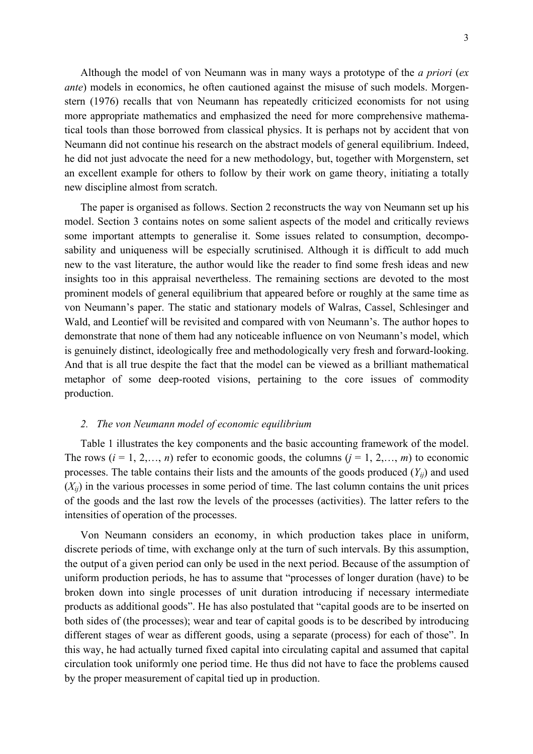Although the model of von Neumann was in many ways a prototype of the *a priori* (*ex ante*) models in economics, he often cautioned against the misuse of such models. Morgenstern (1976) recalls that von Neumann has repeatedly criticized economists for not using more appropriate mathematics and emphasized the need for more comprehensive mathematical tools than those borrowed from classical physics. It is perhaps not by accident that von Neumann did not continue his research on the abstract models of general equilibrium. Indeed, he did not just advocate the need for a new methodology, but, together with Morgenstern, set an excellent example for others to follow by their work on game theory, initiating a totally new discipline almost from scratch.

The paper is organised as follows. Section 2 reconstructs the way von Neumann set up his model. Section 3 contains notes on some salient aspects of the model and critically reviews some important attempts to generalise it. Some issues related to consumption, decomposability and uniqueness will be especially scrutinised. Although it is difficult to add much new to the vast literature, the author would like the reader to find some fresh ideas and new insights too in this appraisal nevertheless. The remaining sections are devoted to the most prominent models of general equilibrium that appeared before or roughly at the same time as von Neumann's paper. The static and stationary models of Walras, Cassel, Schlesinger and Wald, and Leontief will be revisited and compared with von Neumann's. The author hopes to demonstrate that none of them had any noticeable influence on von Neumann's model, which is genuinely distinct, ideologically free and methodologically very fresh and forward-looking. And that is all true despite the fact that the model can be viewed as a brilliant mathematical metaphor of some deep-rooted visions, pertaining to the core issues of commodity production.

#### *2. The von Neumann model of economic equilibrium*

Table 1 illustrates the key components and the basic accounting framework of the model. The rows  $(i = 1, 2, \ldots, n)$  refer to economic goods, the columns  $(j = 1, 2, \ldots, m)$  to economic processes. The table contains their lists and the amounts of the goods produced  $(Y_{ii})$  and used  $(X_{ii})$  in the various processes in some period of time. The last column contains the unit prices of the goods and the last row the levels of the processes (activities). The latter refers to the intensities of operation of the processes.

Von Neumann considers an economy, in which production takes place in uniform, discrete periods of time, with exchange only at the turn of such intervals. By this assumption, the output of a given period can only be used in the next period. Because of the assumption of uniform production periods, he has to assume that "processes of longer duration (have) to be broken down into single processes of unit duration introducing if necessary intermediate products as additional goods". He has also postulated that "capital goods are to be inserted on both sides of (the processes); wear and tear of capital goods is to be described by introducing different stages of wear as different goods, using a separate (process) for each of those". In this way, he had actually turned fixed capital into circulating capital and assumed that capital circulation took uniformly one period time. He thus did not have to face the problems caused by the proper measurement of capital tied up in production.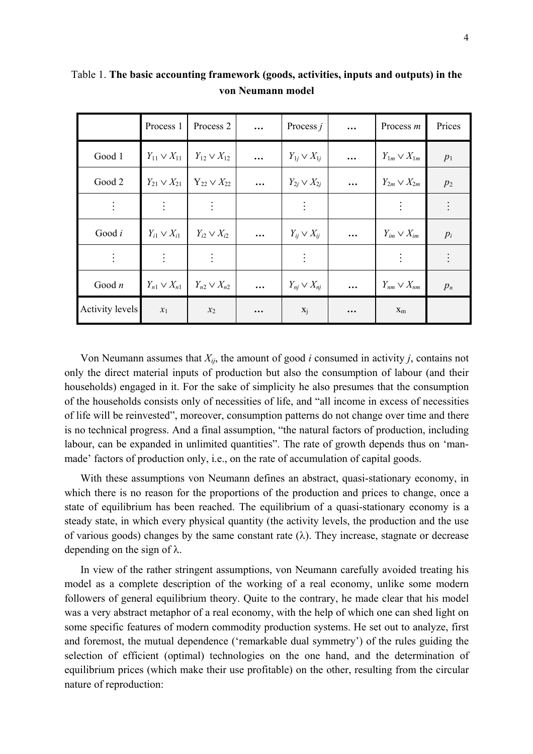|                 | Process 1            | Process 2                                 | $\cdots$                | Process $j$          | $\cdots$  | Process $m$          | Prices               |
|-----------------|----------------------|-------------------------------------------|-------------------------|----------------------|-----------|----------------------|----------------------|
| Good 1          |                      | $Y_{11} \vee X_{11}$ $Y_{12} \vee X_{12}$ | $\cdots$                | $Y_{1j} \vee X_{1j}$ | $\ddotsc$ | $Y_{1m} \vee X_{1m}$ | $p_1$                |
| Good 2          | $Y_{21} \vee X_{21}$ | $Y_{22} \vee X_{22}$                      | $\cdots$                | $Y_{2i} \vee X_{2i}$ | $\cdots$  | $Y_{2m} \vee X_{2m}$ | $p_2$                |
| $\vdots$        | $\vdots$             | $\frac{1}{2}$                             |                         | $\vdots$             |           | $\vdots$             | $\ddot{\phantom{a}}$ |
| Good i          | $Y_{i1} \vee X_{i1}$ | $Y_{i2} \vee X_{i2}$                      | $\ddotsc$               | $Y_{ij} \vee X_{ij}$ | $\ddotsc$ | $Y_{im} \vee X_{im}$ | $p_i$                |
| $\vdots$        | $\vdots$             | $\vdots$                                  |                         | $\vdots$             |           | $\ddot{\cdot}$       | $\bullet$            |
| Good $n$        | $Y_{n1} \vee X_{n1}$ | $Y_{n2} \vee X_{n2}$                      | $\cdots$                | $Y_{ni} \vee X_{ni}$ | $\ddotsc$ | $Y_{nm} \vee X_{nm}$ | $p_n$                |
| Activity levels | $x_1$                | $x_2$                                     | $\bullet\bullet\bullet$ | $\mathbf{x}_j$       | $\cdots$  | $X_{m}$              |                      |

Table 1. **The basic accounting framework (goods, activities, inputs and outputs) in the von Neumann model** 

Von Neumann assumes that *Xij*, the amount of good *i* consumed in activity *j*, contains not only the direct material inputs of production but also the consumption of labour (and their households) engaged in it. For the sake of simplicity he also presumes that the consumption of the households consists only of necessities of life, and "all income in excess of necessities of life will be reinvested", moreover, consumption patterns do not change over time and there is no technical progress. And a final assumption, "the natural factors of production, including labour, can be expanded in unlimited quantities". The rate of growth depends thus on 'manmade' factors of production only, i.e., on the rate of accumulation of capital goods.

With these assumptions von Neumann defines an abstract, quasi-stationary economy, in which there is no reason for the proportions of the production and prices to change, once a state of equilibrium has been reached. The equilibrium of a quasi-stationary economy is a steady state, in which every physical quantity (the activity levels, the production and the use of various goods) changes by the same constant rate  $(\lambda)$ . They increase, stagnate or decrease depending on the sign of  $\lambda$ .

In view of the rather stringent assumptions, von Neumann carefully avoided treating his model as a complete description of the working of a real economy, unlike some modern followers of general equilibrium theory. Quite to the contrary, he made clear that his model was a very abstract metaphor of a real economy, with the help of which one can shed light on some specific features of modern commodity production systems. He set out to analyze, first and foremost, the mutual dependence ('remarkable dual symmetry') of the rules guiding the selection of efficient (optimal) technologies on the one hand, and the determination of equilibrium prices (which make their use profitable) on the other, resulting from the circular nature of reproduction: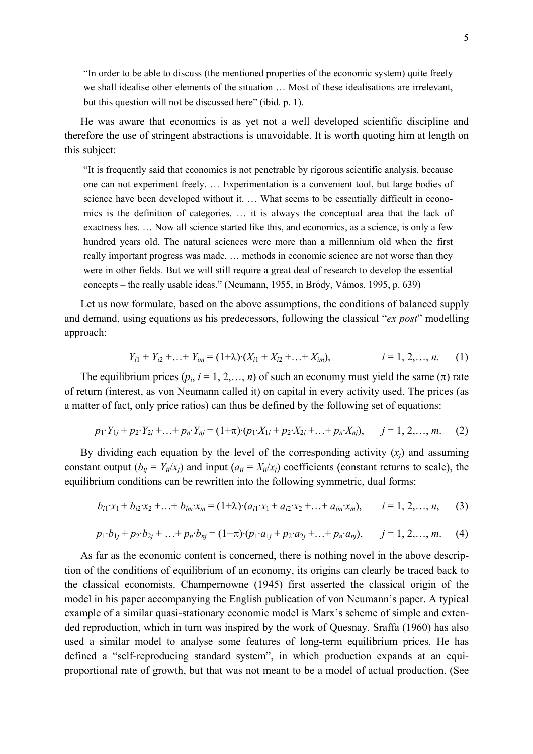"In order to be able to discuss (the mentioned properties of the economic system) quite freely we shall idealise other elements of the situation … Most of these idealisations are irrelevant, but this question will not be discussed here" (ibid. p. 1).

He was aware that economics is as yet not a well developed scientific discipline and therefore the use of stringent abstractions is unavoidable. It is worth quoting him at length on this subject:

"It is frequently said that economics is not penetrable by rigorous scientific analysis, because one can not experiment freely. … Experimentation is a convenient tool, but large bodies of science have been developed without it. … What seems to be essentially difficult in economics is the definition of categories. … it is always the conceptual area that the lack of exactness lies. … Now all science started like this, and economics, as a science, is only a few hundred years old. The natural sciences were more than a millennium old when the first really important progress was made. … methods in economic science are not worse than they were in other fields. But we will still require a great deal of research to develop the essential concepts – the really usable ideas." (Neumann, 1955, in Bródy, Vámos, 1995, p. 639)

Let us now formulate, based on the above assumptions, the conditions of balanced supply and demand, using equations as his predecessors, following the classical "*ex post*" modelling approach:

$$
Y_{i1} + Y_{i2} + \ldots + Y_{im} = (1+\lambda) \cdot (X_{i1} + X_{i2} + \ldots + X_{im}), \qquad i = 1, 2, \ldots, n. \tag{1}
$$

The equilibrium prices  $(p_i, i = 1, 2, \ldots, n)$  of such an economy must yield the same  $(\pi)$  rate of return (interest, as von Neumann called it) on capital in every activity used. The prices (as a matter of fact, only price ratios) can thus be defined by the following set of equations:

$$
p_1 \cdot Y_{1j} + p_2 \cdot Y_{2j} + \ldots + p_n \cdot Y_{nj} = (1+\pi) \cdot (p_1 \cdot X_{1j} + p_2 \cdot X_{2j} + \ldots + p_n \cdot X_{nj}), \qquad j = 1, 2, \ldots, m. \tag{2}
$$

By dividing each equation by the level of the corresponding activity  $(x_i)$  and assuming constant output  $(b_{ij} = Y_{ij}/x_j)$  and input  $(a_{ij} = X_{ij}/x_j)$  coefficients (constant returns to scale), the equilibrium conditions can be rewritten into the following symmetric, dual forms:

$$
b_{i1}x_1 + b_{i2}x_2 + \ldots + b_{im}x_m = (1+\lambda)\cdot(a_{i1}x_1 + a_{i2}x_2 + \ldots + a_{im}x_m), \qquad i = 1, 2, \ldots, n,
$$
 (3)

$$
p_1 \cdot b_{1j} + p_2 \cdot b_{2j} + \ldots + p_n \cdot b_{nj} = (1 + \pi) \cdot (p_1 \cdot a_{1j} + p_2 \cdot a_{2j} + \ldots + p_n \cdot a_{nj}), \qquad j = 1, 2, \ldots, m. \tag{4}
$$

As far as the economic content is concerned, there is nothing novel in the above description of the conditions of equilibrium of an economy, its origins can clearly be traced back to the classical economists. Champernowne (1945) first asserted the classical origin of the model in his paper accompanying the English publication of von Neumann's paper. A typical example of a similar quasi-stationary economic model is Marx's scheme of simple and extended reproduction, which in turn was inspired by the work of Quesnay. Sraffa (1960) has also used a similar model to analyse some features of long-term equilibrium prices. He has defined a "self-reproducing standard system", in which production expands at an equiproportional rate of growth, but that was not meant to be a model of actual production. (See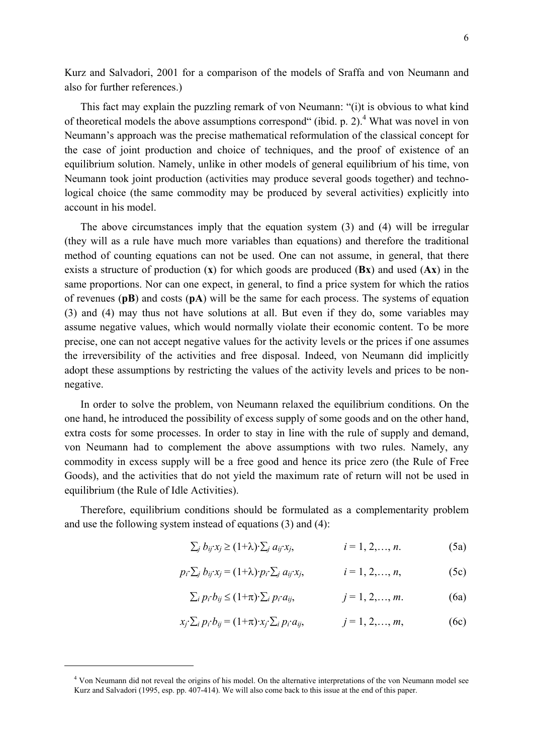Kurz and Salvadori, 2001 for a comparison of the models of Sraffa and von Neumann and also for further references.)

This fact may explain the puzzling remark of von Neumann: "(i)t is obvious to what kind of theoretical models the above assumptions correspond "(ibid. p. 2).<sup>4</sup> What was novel in von Neumann's approach was the precise mathematical reformulation of the classical concept for the case of joint production and choice of techniques, and the proof of existence of an equilibrium solution. Namely, unlike in other models of general equilibrium of his time, von Neumann took joint production (activities may produce several goods together) and technological choice (the same commodity may be produced by several activities) explicitly into account in his model.

The above circumstances imply that the equation system (3) and (4) will be irregular (they will as a rule have much more variables than equations) and therefore the traditional method of counting equations can not be used. One can not assume, in general, that there exists a structure of production (**x**) for which goods are produced (**Bx**) and used (**Ax**) in the same proportions. Nor can one expect, in general, to find a price system for which the ratios of revenues (**pB**) and costs (**pA**) will be the same for each process. The systems of equation (3) and (4) may thus not have solutions at all. But even if they do, some variables may assume negative values, which would normally violate their economic content. To be more precise, one can not accept negative values for the activity levels or the prices if one assumes the irreversibility of the activities and free disposal. Indeed, von Neumann did implicitly adopt these assumptions by restricting the values of the activity levels and prices to be nonnegative.

In order to solve the problem, von Neumann relaxed the equilibrium conditions. On the one hand, he introduced the possibility of excess supply of some goods and on the other hand, extra costs for some processes. In order to stay in line with the rule of supply and demand, von Neumann had to complement the above assumptions with two rules. Namely, any commodity in excess supply will be a free good and hence its price zero (the Rule of Free Goods), and the activities that do not yield the maximum rate of return will not be used in equilibrium (the Rule of Idle Activities).

Therefore, equilibrium conditions should be formulated as a complementarity problem and use the following system instead of equations (3) and (4):

$$
\sum_{j} b_{ij} x_j \ge (1+\lambda) \sum_{j} a_{ij} x_j, \qquad i=1,2,\ldots,n. \tag{5a}
$$

$$
p_i \sum_j b_{ij} x_j = (1+\lambda) \cdot p_i \cdot \sum_j a_{ij} x_j, \qquad i = 1, 2, \dots, n,
$$
 (5c)

$$
\sum_{i} p_i \cdot b_{ij} \le (1+\pi) \cdot \sum_{i} p_i \cdot a_{ij}, \qquad j=1,2,\ldots,m. \tag{6a}
$$

$$
x_j \sum_i p_i b_{ij} = (1+\pi) \cdot x_j \cdot \sum_i p_i \cdot a_{ij}, \qquad j = 1, 2, \dots, m,
$$
 (6c)

<sup>&</sup>lt;sup>4</sup> Von Neumann did not reveal the origins of his model. On the alternative interpretations of the von Neumann model see Kurz and Salvadori (1995, esp. pp. 407-414). We will also come back to this issue at the end of this paper.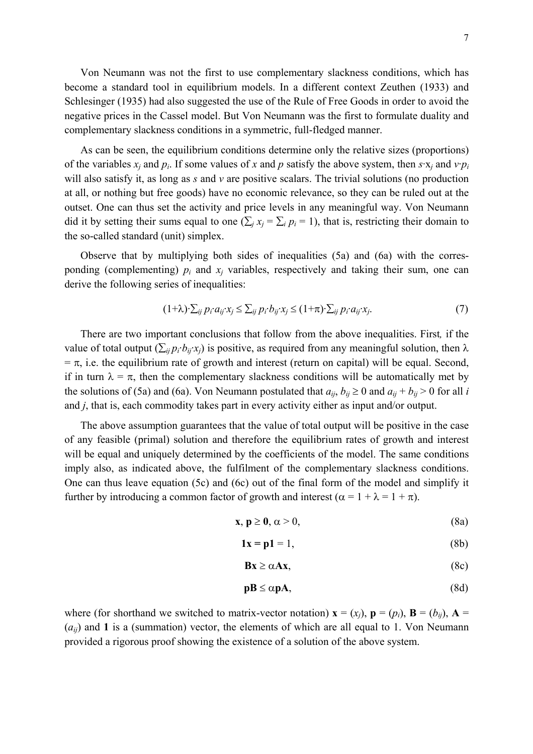Von Neumann was not the first to use complementary slackness conditions, which has become a standard tool in equilibrium models. In a different context Zeuthen (1933) and Schlesinger (1935) had also suggested the use of the Rule of Free Goods in order to avoid the negative prices in the Cassel model. But Von Neumann was the first to formulate duality and complementary slackness conditions in a symmetric, full-fledged manner.

As can be seen, the equilibrium conditions determine only the relative sizes (proportions) of the variables  $x_i$  and  $p_i$ . If some values of x and p satisfy the above system, then  $s \cdot x_i$  and  $v \cdot p_i$ will also satisfy it, as long as *s* and *v* are positive scalars. The trivial solutions (no production at all, or nothing but free goods) have no economic relevance, so they can be ruled out at the outset. One can thus set the activity and price levels in any meaningful way. Von Neumann did it by setting their sums equal to one  $(\sum_i x_i = \sum_i p_i = 1)$ , that is, restricting their domain to the so-called standard (unit) simplex.

Observe that by multiplying both sides of inequalities (5a) and (6a) with the corresponding (complementing)  $p_i$  and  $x_j$  variables, respectively and taking their sum, one can derive the following series of inequalities:

$$
(1+\lambda)\cdot \sum_{ij} p_i \cdot a_{ij} \cdot x_j \leq \sum_{ij} p_i \cdot b_{ij} \cdot x_j \leq (1+\pi)\cdot \sum_{ij} p_i \cdot a_{ij} \cdot x_j. \tag{7}
$$

There are two important conclusions that follow from the above inequalities. First*,* if the value of total output  $(\sum_{ij} p_i \cdot b_{ij} \cdot x_j)$  is positive, as required from any meaningful solution, then  $\lambda$  $=\pi$ , i.e. the equilibrium rate of growth and interest (return on capital) will be equal. Second, if in turn  $\lambda = \pi$ , then the complementary slackness conditions will be automatically met by the solutions of (5a) and (6a). Von Neumann postulated that  $a_{ii}$ ,  $b_{ii} \ge 0$  and  $a_{ii} + b_{ii} > 0$  for all *i* and *j*, that is, each commodity takes part in every activity either as input and/or output.

The above assumption guarantees that the value of total output will be positive in the case of any feasible (primal) solution and therefore the equilibrium rates of growth and interest will be equal and uniquely determined by the coefficients of the model. The same conditions imply also, as indicated above, the fulfilment of the complementary slackness conditions. One can thus leave equation (5c) and (6c) out of the final form of the model and simplify it further by introducing a common factor of growth and interest ( $\alpha = 1 + \lambda = 1 + \pi$ ).

$$
\mathbf{x}, \mathbf{p} \ge \mathbf{0}, \alpha > 0,\tag{8a}
$$

$$
1\mathbf{x} = \mathbf{p1} = 1,\tag{8b}
$$

$$
\mathbf{B}\mathbf{x} \ge \alpha \mathbf{A}\mathbf{x},\tag{8c}
$$

$$
pB \le \alpha pA, \tag{8d}
$$

where (for shorthand we switched to matrix-vector notation)  $\mathbf{x} = (x_i)$ ,  $\mathbf{p} = (p_i)$ ,  $\mathbf{B} = (b_{ii})$ ,  $\mathbf{A} =$  $(a_{ii})$  and 1 is a (summation) vector, the elements of which are all equal to 1. Von Neumann provided a rigorous proof showing the existence of a solution of the above system.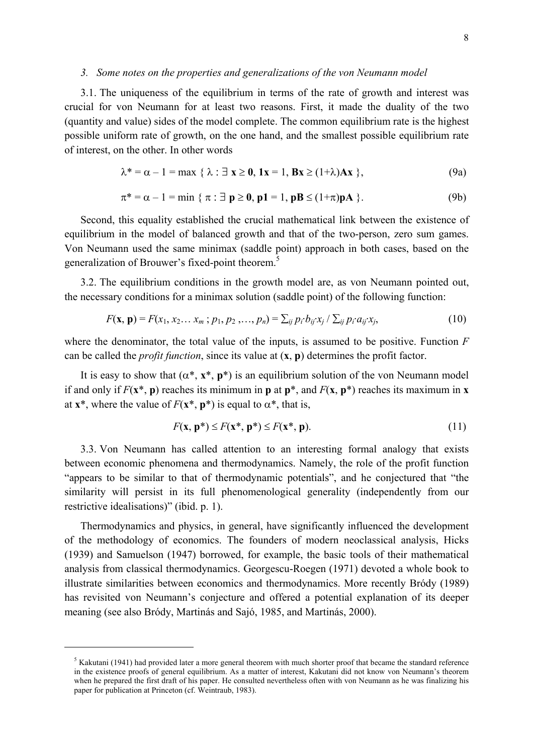#### *3. Some notes on the properties and generalizations of the von Neumann model*

3.1. The uniqueness of the equilibrium in terms of the rate of growth and interest was crucial for von Neumann for at least two reasons. First, it made the duality of the two (quantity and value) sides of the model complete. The common equilibrium rate is the highest possible uniform rate of growth, on the one hand, and the smallest possible equilibrium rate of interest, on the other. In other words

$$
\lambda^* = \alpha - 1 = \max \{ \lambda : \exists \mathbf{x} \ge \mathbf{0}, \mathbf{1}\mathbf{x} = 1, \mathbf{B}\mathbf{x} \ge (1 + \lambda)\mathbf{A}\mathbf{x} \},\tag{9a}
$$

$$
\pi^* = \alpha - 1 = \min \{ \pi : \exists \ p \ge 0, \ p1 = 1, \ pB \le (1 + \pi)pA \}.
$$
 (9b)

Second, this equality established the crucial mathematical link between the existence of equilibrium in the model of balanced growth and that of the two-person, zero sum games. Von Neumann used the same minimax (saddle point) approach in both cases, based on the generalization of Brouwer's fixed-point theorem.<sup>5</sup>

3.2. The equilibrium conditions in the growth model are, as von Neumann pointed out, the necessary conditions for a minimax solution (saddle point) of the following function:

$$
F(\mathbf{x}, \mathbf{p}) = F(x_1, x_2, \dots, x_m; p_1, p_2, \dots, p_n) = \sum_{ij} p_i \cdot b_{ij} x_j / \sum_{ij} p_i \cdot a_{ij} x_j,
$$
(10)

where the denominator, the total value of the inputs, is assumed to be positive. Function *F* can be called the *profit function*, since its value at (**x**, **p**) determines the profit factor.

It is easy to show that  $(\alpha^*, x^*, p^*)$  is an equilibrium solution of the von Neumann model if and only if  $F(\mathbf{x}^*, \mathbf{p})$  reaches its minimum in **p** at  $\mathbf{p}^*$ , and  $F(\mathbf{x}, \mathbf{p}^*)$  reaches its maximum in **x** at  $\mathbf{x}^*$ , where the value of  $F(\mathbf{x}^*, \mathbf{p}^*)$  is equal to  $\alpha^*$ , that is,

$$
F(\mathbf{x}, \mathbf{p}^*) \le F(\mathbf{x}^*, \mathbf{p}^*) \le F(\mathbf{x}^*, \mathbf{p}).\tag{11}
$$

3.3. Von Neumann has called attention to an interesting formal analogy that exists between economic phenomena and thermodynamics. Namely, the role of the profit function "appears to be similar to that of thermodynamic potentials", and he conjectured that "the similarity will persist in its full phenomenological generality (independently from our restrictive idealisations)" (ibid. p. 1).

Thermodynamics and physics, in general, have significantly influenced the development of the methodology of economics. The founders of modern neoclassical analysis, Hicks (1939) and Samuelson (1947) borrowed, for example, the basic tools of their mathematical analysis from classical thermodynamics. Georgescu-Roegen (1971) devoted a whole book to illustrate similarities between economics and thermodynamics. More recently Bródy (1989) has revisited von Neumann's conjecture and offered a potential explanation of its deeper meaning (see also Bródy, Martinás and Sajó, 1985, and Martinás, 2000).

 $<sup>5</sup>$  Kakutani (1941) had provided later a more general theorem with much shorter proof that became the standard reference</sup> in the existence proofs of general equilibrium. As a matter of interest, Kakutani did not know von Neumann's theorem when he prepared the first draft of his paper. He consulted nevertheless often with von Neumann as he was finalizing his paper for publication at Princeton (cf. Weintraub, 1983).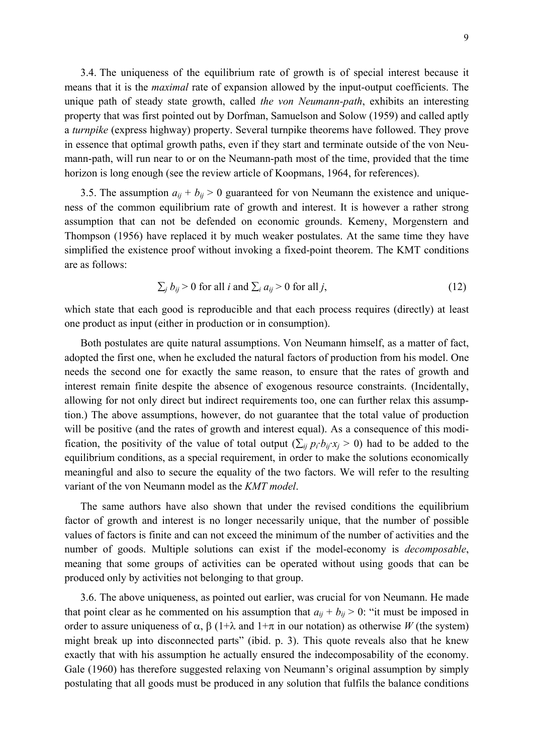3.4. The uniqueness of the equilibrium rate of growth is of special interest because it means that it is the *maximal* rate of expansion allowed by the input-output coefficients. The unique path of steady state growth, called *the von Neumann-path*, exhibits an interesting property that was first pointed out by Dorfman, Samuelson and Solow (1959) and called aptly a *turnpike* (express highway) property. Several turnpike theorems have followed. They prove in essence that optimal growth paths, even if they start and terminate outside of the von Neumann-path, will run near to or on the Neumann-path most of the time, provided that the time horizon is long enough (see the review article of Koopmans, 1964, for references).

3.5. The assumption  $a_{ii} + b_{ii} > 0$  guaranteed for von Neumann the existence and uniqueness of the common equilibrium rate of growth and interest. It is however a rather strong assumption that can not be defended on economic grounds. Kemeny, Morgenstern and Thompson (1956) have replaced it by much weaker postulates. At the same time they have simplified the existence proof without invoking a fixed-point theorem. The KMT conditions are as follows:

$$
\sum_{j} b_{ij} > 0 \text{ for all } i \text{ and } \sum_{i} a_{ij} > 0 \text{ for all } j,
$$
\n(12)

which state that each good is reproducible and that each process requires (directly) at least one product as input (either in production or in consumption).

Both postulates are quite natural assumptions. Von Neumann himself, as a matter of fact, adopted the first one, when he excluded the natural factors of production from his model. One needs the second one for exactly the same reason, to ensure that the rates of growth and interest remain finite despite the absence of exogenous resource constraints. (Incidentally, allowing for not only direct but indirect requirements too, one can further relax this assumption.) The above assumptions, however, do not guarantee that the total value of production will be positive (and the rates of growth and interest equal). As a consequence of this modification, the positivity of the value of total output ( $\sum_{ij} p_i \cdot b_{ij} x_j > 0$ ) had to be added to the equilibrium conditions, as a special requirement, in order to make the solutions economically meaningful and also to secure the equality of the two factors. We will refer to the resulting variant of the von Neumann model as the *KMT model*.

The same authors have also shown that under the revised conditions the equilibrium factor of growth and interest is no longer necessarily unique, that the number of possible values of factors is finite and can not exceed the minimum of the number of activities and the number of goods. Multiple solutions can exist if the model-economy is *decomposable*, meaning that some groups of activities can be operated without using goods that can be produced only by activities not belonging to that group.

3.6. The above uniqueness, as pointed out earlier, was crucial for von Neumann. He made that point clear as he commented on his assumption that  $a_{ij} + b_{ij} > 0$ : "it must be imposed in order to assure uniqueness of  $\alpha$ ,  $\beta$  (1+ $\lambda$  and 1+ $\pi$  in our notation) as otherwise *W* (the system) might break up into disconnected parts" (ibid. p. 3). This quote reveals also that he knew exactly that with his assumption he actually ensured the indecomposability of the economy. Gale (1960) has therefore suggested relaxing von Neumann's original assumption by simply postulating that all goods must be produced in any solution that fulfils the balance conditions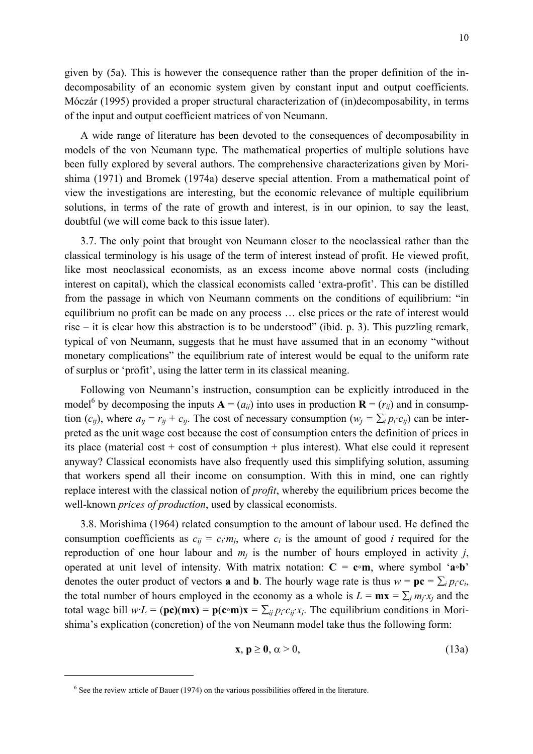given by (5a). This is however the consequence rather than the proper definition of the indecomposability of an economic system given by constant input and output coefficients. Móczár (1995) provided a proper structural characterization of (in)decomposability, in terms of the input and output coefficient matrices of von Neumann.

A wide range of literature has been devoted to the consequences of decomposability in models of the von Neumann type. The mathematical properties of multiple solutions have been fully explored by several authors. The comprehensive characterizations given by Morishima (1971) and Bromek (1974a) deserve special attention. From a mathematical point of view the investigations are interesting, but the economic relevance of multiple equilibrium solutions, in terms of the rate of growth and interest, is in our opinion, to say the least, doubtful (we will come back to this issue later).

3.7. The only point that brought von Neumann closer to the neoclassical rather than the classical terminology is his usage of the term of interest instead of profit. He viewed profit, like most neoclassical economists, as an excess income above normal costs (including interest on capital), which the classical economists called 'extra-profit'. This can be distilled from the passage in which von Neumann comments on the conditions of equilibrium: "in equilibrium no profit can be made on any process … else prices or the rate of interest would rise – it is clear how this abstraction is to be understood" (ibid. p. 3). This puzzling remark, typical of von Neumann, suggests that he must have assumed that in an economy "without monetary complications" the equilibrium rate of interest would be equal to the uniform rate of surplus or 'profit', using the latter term in its classical meaning.

Following von Neumann's instruction, consumption can be explicitly introduced in the model<sup>6</sup> by decomposing the inputs  $\mathbf{A} = (a_{ij})$  into uses in production  $\mathbf{R} = (r_{ij})$  and in consumption  $(c_{ij})$ , where  $a_{ij} = r_{ij} + c_{ij}$ . The cost of necessary consumption  $(w_i = \sum_i p_i \cdot c_{ij})$  can be interpreted as the unit wage cost because the cost of consumption enters the definition of prices in its place (material cost  $+$  cost of consumption  $+$  plus interest). What else could it represent anyway? Classical economists have also frequently used this simplifying solution, assuming that workers spend all their income on consumption. With this in mind, one can rightly replace interest with the classical notion of *profit*, whereby the equilibrium prices become the well-known *prices of production*, used by classical economists.

3.8. Morishima (1964) related consumption to the amount of labour used. He defined the consumption coefficients as  $c_{ij} = c_i \cdot m_j$ , where  $c_i$  is the amount of good *i* required for the reproduction of one hour labour and  $m_j$  is the number of hours employed in activity  $j$ , operated at unit level of intensity. With matrix notation: **C** = **c**◦**m**, where symbol '**a**◦**b**' denotes the outer product of vectors **a** and **b**. The hourly wage rate is thus  $w = \mathbf{pc} = \sum_i p_i c_i$ , the total number of hours employed in the economy as a whole is  $L = mx = \sum_j m_j \cdot x_j$  and the total wage bill  $w \cdot L = (\mathbf{pc})(\mathbf{mx}) = \mathbf{p}(\mathbf{c} \cdot \mathbf{m})\mathbf{x} = \sum_{ij} p_i c_{ij} x_j$ . The equilibrium conditions in Morishima's explication (concretion) of the von Neumann model take thus the following form:

$$
\mathbf{x}, \mathbf{p} \ge \mathbf{0}, \alpha > 0,\tag{13a}
$$

 $<sup>6</sup>$  See the review article of Bauer (1974) on the various possibilities offered in the literature.</sup>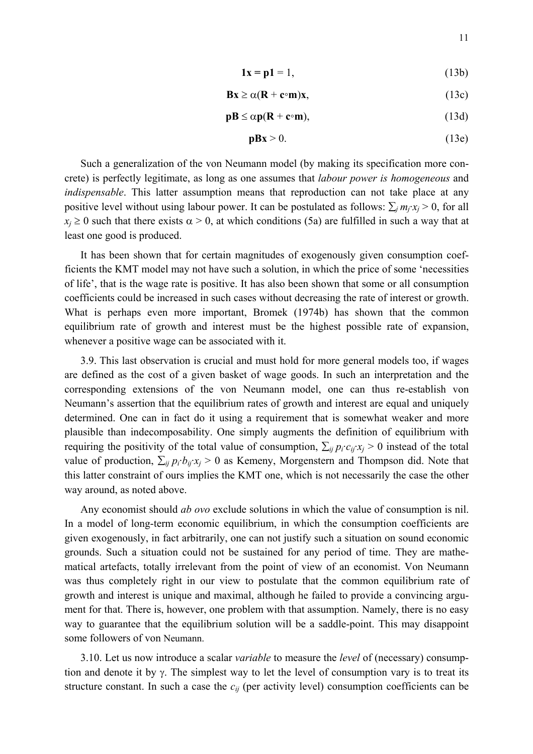$$
1\mathbf{x} = \mathbf{p1} = 1,\tag{13b}
$$

$$
\mathbf{B}\mathbf{x} \ge \alpha(\mathbf{R} + \mathbf{c} \cdot \mathbf{m})\mathbf{x},\tag{13c}
$$

$$
\mathbf{pB} \le \alpha \mathbf{p}(\mathbf{R} + \mathbf{c}^{\circ} \mathbf{m}),\tag{13d}
$$

$$
pBx > 0. \tag{13e}
$$

Such a generalization of the von Neumann model (by making its specification more concrete) is perfectly legitimate, as long as one assumes that *labour power is homogeneous* and *indispensable*. This latter assumption means that reproduction can not take place at any positive level without using labour power. It can be postulated as follows:  $\sum_j m_j \cdot x_j > 0$ , for all  $x_i \ge 0$  such that there exists  $\alpha > 0$ , at which conditions (5a) are fulfilled in such a way that at least one good is produced.

It has been shown that for certain magnitudes of exogenously given consumption coefficients the KMT model may not have such a solution, in which the price of some 'necessities of life', that is the wage rate is positive. It has also been shown that some or all consumption coefficients could be increased in such cases without decreasing the rate of interest or growth. What is perhaps even more important, Bromek (1974b) has shown that the common equilibrium rate of growth and interest must be the highest possible rate of expansion, whenever a positive wage can be associated with it.

3.9. This last observation is crucial and must hold for more general models too, if wages are defined as the cost of a given basket of wage goods. In such an interpretation and the corresponding extensions of the von Neumann model, one can thus re-establish von Neumann's assertion that the equilibrium rates of growth and interest are equal and uniquely determined. One can in fact do it using a requirement that is somewhat weaker and more plausible than indecomposability. One simply augments the definition of equilibrium with requiring the positivity of the total value of consumption,  $\sum_{ij} p_i \cdot c_{ij} \cdot x_j > 0$  instead of the total value of production,  $\sum_{ij} p_i \cdot b_{ij} \cdot x_j > 0$  as Kemeny, Morgenstern and Thompson did. Note that this latter constraint of ours implies the KMT one, which is not necessarily the case the other way around, as noted above.

Any economist should *ab ovo* exclude solutions in which the value of consumption is nil. In a model of long-term economic equilibrium, in which the consumption coefficients are given exogenously, in fact arbitrarily, one can not justify such a situation on sound economic grounds. Such a situation could not be sustained for any period of time. They are mathematical artefacts, totally irrelevant from the point of view of an economist. Von Neumann was thus completely right in our view to postulate that the common equilibrium rate of growth and interest is unique and maximal, although he failed to provide a convincing argument for that. There is, however, one problem with that assumption. Namely, there is no easy way to guarantee that the equilibrium solution will be a saddle-point. This may disappoint some followers of von Neumann.

3.10. Let us now introduce a scalar *variable* to measure the *level* of (necessary) consumption and denote it by γ. The simplest way to let the level of consumption vary is to treat its structure constant. In such a case the *cij* (per activity level) consumption coefficients can be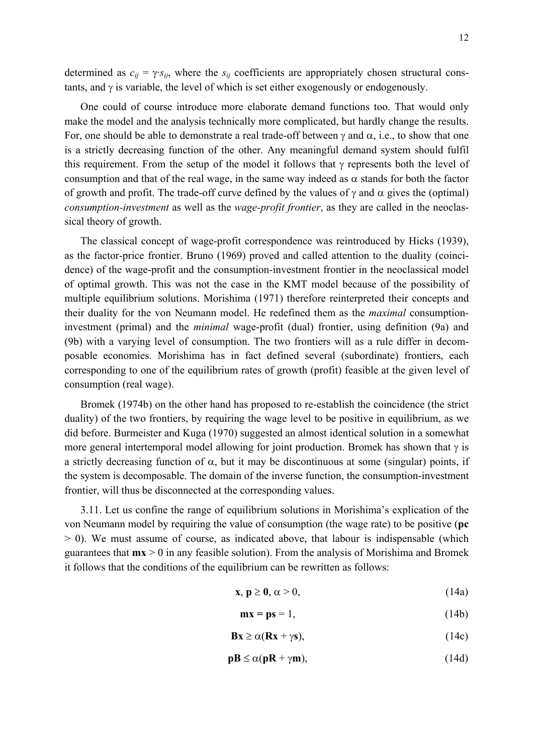determined as  $c_{ij} = \gamma s_{ij}$ , where the  $s_{ij}$  coefficients are appropriately chosen structural constants, and  $\gamma$  is variable, the level of which is set either exogenously or endogenously.

One could of course introduce more elaborate demand functions too. That would only make the model and the analysis technically more complicated, but hardly change the results. For, one should be able to demonstrate a real trade-off between  $\gamma$  and  $\alpha$ , i.e., to show that one is a strictly decreasing function of the other. Any meaningful demand system should fulfil this requirement. From the setup of the model it follows that  $\gamma$  represents both the level of consumption and that of the real wage, in the same way indeed as  $\alpha$  stands for both the factor of growth and profit. The trade-off curve defined by the values of  $\gamma$  and  $\alpha$  gives the (optimal) *consumption-investment* as well as the *wage-profit frontier*, as they are called in the neoclassical theory of growth.

The classical concept of wage-profit correspondence was reintroduced by Hicks (1939), as the factor-price frontier. Bruno (1969) proved and called attention to the duality (coincidence) of the wage-profit and the consumption-investment frontier in the neoclassical model of optimal growth. This was not the case in the KMT model because of the possibility of multiple equilibrium solutions. Morishima (1971) therefore reinterpreted their concepts and their duality for the von Neumann model. He redefined them as the *maximal* consumptioninvestment (primal) and the *minimal* wage-profit (dual) frontier, using definition (9a) and (9b) with a varying level of consumption. The two frontiers will as a rule differ in decomposable economies. Morishima has in fact defined several (subordinate) frontiers, each corresponding to one of the equilibrium rates of growth (profit) feasible at the given level of consumption (real wage).

Bromek (1974b) on the other hand has proposed to re-establish the coincidence (the strict duality) of the two frontiers, by requiring the wage level to be positive in equilibrium, as we did before. Burmeister and Kuga (1970) suggested an almost identical solution in a somewhat more general intertemporal model allowing for joint production. Bromek has shown that  $\gamma$  is a strictly decreasing function of  $\alpha$ , but it may be discontinuous at some (singular) points, if the system is decomposable. The domain of the inverse function, the consumption-investment frontier, will thus be disconnected at the corresponding values.

3.11. Let us confine the range of equilibrium solutions in Morishima's explication of the von Neumann model by requiring the value of consumption (the wage rate) to be positive (**pc**  $>$  0). We must assume of course, as indicated above, that labour is indispensable (which guarantees that  $mx > 0$  in any feasible solution). From the analysis of Morishima and Bromek it follows that the conditions of the equilibrium can be rewritten as follows:

$$
\mathbf{x}, \mathbf{p} \ge \mathbf{0}, \alpha > 0,\tag{14a}
$$

$$
mx = ps = 1,\t(14b)
$$

$$
\mathbf{B}\mathbf{x} \ge \alpha(\mathbf{R}\mathbf{x} + \gamma \mathbf{s}),\tag{14c}
$$

$$
\mathbf{pB} \le \alpha(\mathbf{pR} + \gamma \mathbf{m}),\tag{14d}
$$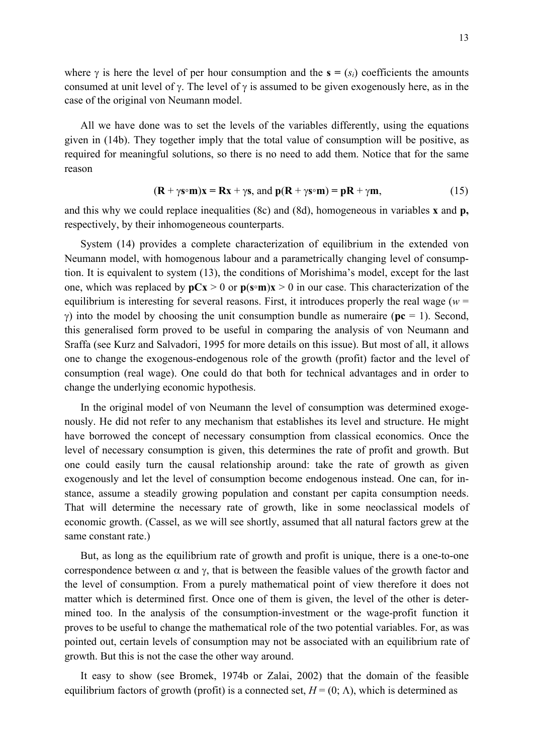where  $\gamma$  is here the level of per hour consumption and the  $\mathbf{s} = (s_i)$  coefficients the amounts consumed at unit level of  $\gamma$ . The level of  $\gamma$  is assumed to be given exogenously here, as in the case of the original von Neumann model.

All we have done was to set the levels of the variables differently, using the equations given in (14b). They together imply that the total value of consumption will be positive, as required for meaningful solutions, so there is no need to add them. Notice that for the same reason

$$
(\mathbf{R} + \gamma \mathbf{s} \circ \mathbf{m})\mathbf{x} = \mathbf{R}\mathbf{x} + \gamma \mathbf{s}, \text{ and } \mathbf{p}(\mathbf{R} + \gamma \mathbf{s} \circ \mathbf{m}) = \mathbf{p}\mathbf{R} + \gamma \mathbf{m}, \tag{15}
$$

and this why we could replace inequalities (8c) and (8d), homogeneous in variables **x** and **p,** respectively, by their inhomogeneous counterparts.

System (14) provides a complete characterization of equilibrium in the extended von Neumann model, with homogenous labour and a parametrically changing level of consumption. It is equivalent to system (13), the conditions of Morishima's model, except for the last one, which was replaced by  $pCx > 0$  or  $p(s \circ m)x > 0$  in our case. This characterization of the equilibrium is interesting for several reasons. First, it introduces properly the real wage ( $w =$ γ) into the model by choosing the unit consumption bundle as numeraire ( $pc = 1$ ). Second, this generalised form proved to be useful in comparing the analysis of von Neumann and Sraffa (see Kurz and Salvadori, 1995 for more details on this issue). But most of all, it allows one to change the exogenous-endogenous role of the growth (profit) factor and the level of consumption (real wage). One could do that both for technical advantages and in order to change the underlying economic hypothesis.

In the original model of von Neumann the level of consumption was determined exogenously. He did not refer to any mechanism that establishes its level and structure. He might have borrowed the concept of necessary consumption from classical economics. Once the level of necessary consumption is given, this determines the rate of profit and growth. But one could easily turn the causal relationship around: take the rate of growth as given exogenously and let the level of consumption become endogenous instead. One can, for instance, assume a steadily growing population and constant per capita consumption needs. That will determine the necessary rate of growth, like in some neoclassical models of economic growth. (Cassel, as we will see shortly, assumed that all natural factors grew at the same constant rate.)

But, as long as the equilibrium rate of growth and profit is unique, there is a one-to-one correspondence between  $\alpha$  and  $\gamma$ , that is between the feasible values of the growth factor and the level of consumption. From a purely mathematical point of view therefore it does not matter which is determined first. Once one of them is given, the level of the other is determined too. In the analysis of the consumption-investment or the wage-profit function it proves to be useful to change the mathematical role of the two potential variables. For, as was pointed out, certain levels of consumption may not be associated with an equilibrium rate of growth. But this is not the case the other way around.

It easy to show (see Bromek, 1974b or Zalai, 2002) that the domain of the feasible equilibrium factors of growth (profit) is a connected set,  $H = (0; \Lambda)$ , which is determined as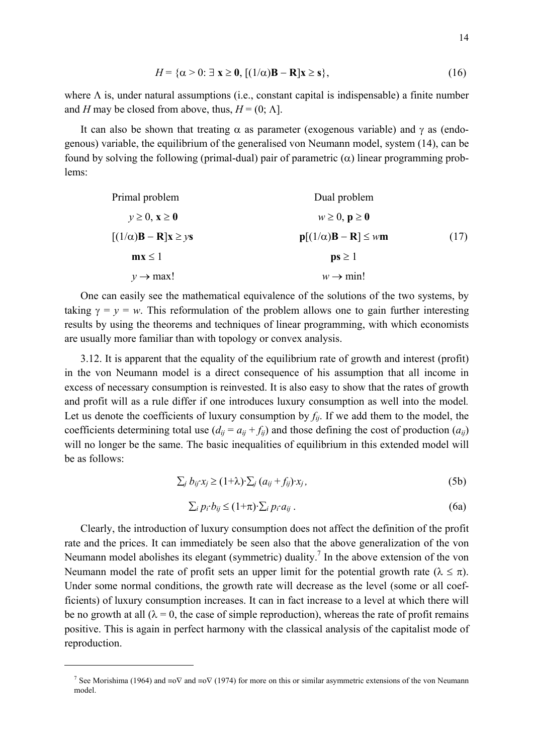$$
H = \{ \alpha > 0 : \exists \mathbf{x} \ge \mathbf{0}, \left[ (1/\alpha)\mathbf{B} - \mathbf{R} \right] \mathbf{x} \ge \mathbf{s} \},\tag{16}
$$

where Λ is, under natural assumptions (i.e., constant capital is indispensable) a finite number and *H* may be closed from above, thus,  $H = (0, \Lambda)$ .

It can also be shown that treating  $\alpha$  as parameter (exogenous variable) and  $\gamma$  as (endogenous) variable, the equilibrium of the generalised von Neumann model, system (14), can be found by solving the following (primal-dual) pair of parametric (α) linear programming problems:

| Primal problem               | Dual problem                                                  |      |
|------------------------------|---------------------------------------------------------------|------|
| $y \geq 0, x \geq 0$         | $w \geq 0$ , $p \geq 0$                                       |      |
| $[(1/\alpha)B - R]x \geq ys$ | $\mathbf{p}[(1/\alpha)\mathbf{B}-\mathbf{R}]\leq w\mathbf{m}$ | (17) |
| $mx \leq 1$                  | $ps \geq 1$                                                   |      |
| $y \rightarrow \text{max}!$  | $w \rightarrow \text{min}!$                                   |      |

One can easily see the mathematical equivalence of the solutions of the two systems, by taking  $\gamma = y = w$ . This reformulation of the problem allows one to gain further interesting results by using the theorems and techniques of linear programming, with which economists are usually more familiar than with topology or convex analysis.

3.12. It is apparent that the equality of the equilibrium rate of growth and interest (profit) in the von Neumann model is a direct consequence of his assumption that all income in excess of necessary consumption is reinvested. It is also easy to show that the rates of growth and profit will as a rule differ if one introduces luxury consumption as well into the model*.* Let us denote the coefficients of luxury consumption by  $f_{ii}$ . If we add them to the model, the coefficients determining total use  $(d_{ij} = a_{ij} + f_{ij})$  and those defining the cost of production  $(a_{ij})$ will no longer be the same. The basic inequalities of equilibrium in this extended model will be as follows:

$$
\sum_{j} b_{ij} x_j \ge (1+\lambda) \cdot \sum_{j} (a_{ij} + f_{ij}) \cdot x_j, \tag{5b}
$$

$$
\sum_{i} p_i \cdot b_{ij} \le (1+\pi) \cdot \sum_{i} p_i \cdot a_{ij} \tag{6a}
$$

Clearly, the introduction of luxury consumption does not affect the definition of the profit rate and the prices. It can immediately be seen also that the above generalization of the von Neumann model abolishes its elegant (symmetric) duality.<sup>7</sup> In the above extension of the von Neumann model the rate of profit sets an upper limit for the potential growth rate ( $\lambda \leq \pi$ ). Under some normal conditions, the growth rate will decrease as the level (some or all coefficients) of luxury consumption increases. It can in fact increase to a level at which there will be no growth at all  $(\lambda = 0)$ , the case of simple reproduction), whereas the rate of profit remains positive. This is again in perfect harmony with the classical analysis of the capitalist mode of reproduction.

<sup>&</sup>lt;sup>7</sup> See Morishima (1964) and ≡o $\nabla$  and ≡o $\nabla$  (1974) for more on this or similar asymmetric extensions of the von Neumann model.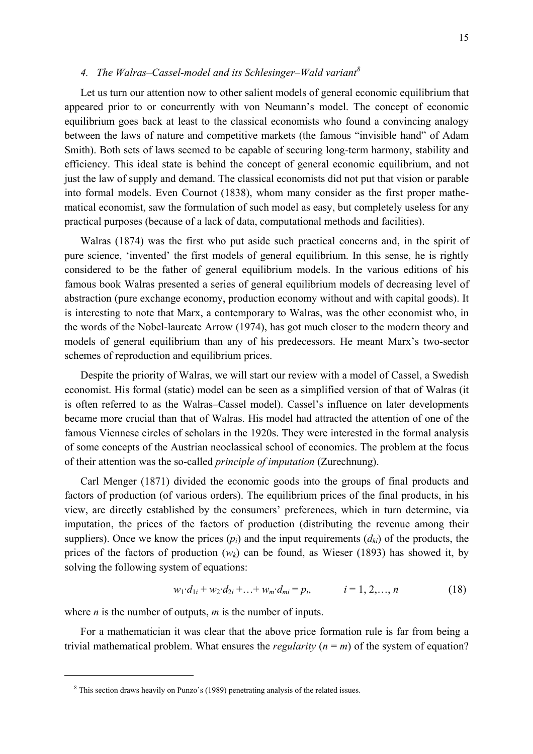#### 4. *The Walras–Cassel-model and its Schlesinger–Wald variant*<sup>8</sup>

Let us turn our attention now to other salient models of general economic equilibrium that appeared prior to or concurrently with von Neumann's model. The concept of economic equilibrium goes back at least to the classical economists who found a convincing analogy between the laws of nature and competitive markets (the famous "invisible hand" of Adam Smith). Both sets of laws seemed to be capable of securing long-term harmony, stability and efficiency. This ideal state is behind the concept of general economic equilibrium, and not just the law of supply and demand. The classical economists did not put that vision or parable into formal models. Even Cournot (1838), whom many consider as the first proper mathematical economist, saw the formulation of such model as easy, but completely useless for any practical purposes (because of a lack of data, computational methods and facilities).

Walras (1874) was the first who put aside such practical concerns and, in the spirit of pure science, 'invented' the first models of general equilibrium. In this sense, he is rightly considered to be the father of general equilibrium models. In the various editions of his famous book Walras presented a series of general equilibrium models of decreasing level of abstraction (pure exchange economy, production economy without and with capital goods). It is interesting to note that Marx, a contemporary to Walras, was the other economist who, in the words of the Nobel-laureate Arrow (1974), has got much closer to the modern theory and models of general equilibrium than any of his predecessors. He meant Marx's two-sector schemes of reproduction and equilibrium prices.

Despite the priority of Walras, we will start our review with a model of Cassel, a Swedish economist. His formal (static) model can be seen as a simplified version of that of Walras (it is often referred to as the Walras–Cassel model). Cassel's influence on later developments became more crucial than that of Walras. His model had attracted the attention of one of the famous Viennese circles of scholars in the 1920s. They were interested in the formal analysis of some concepts of the Austrian neoclassical school of economics. The problem at the focus of their attention was the so-called *principle of imputation* (Zurechnung).

Carl Menger (1871) divided the economic goods into the groups of final products and factors of production (of various orders). The equilibrium prices of the final products, in his view, are directly established by the consumers' preferences, which in turn determine, via imputation, the prices of the factors of production (distributing the revenue among their suppliers). Once we know the prices  $(p_i)$  and the input requirements  $(d_{ki})$  of the products, the prices of the factors of production  $(w_k)$  can be found, as Wieser (1893) has showed it, by solving the following system of equations:

$$
w_1 \cdot d_{1i} + w_2 \cdot d_{2i} + \ldots + w_m \cdot d_{mi} = p_i, \qquad i = 1, 2, \ldots, n \tag{18}
$$

where *n* is the number of outputs, *m* is the number of inputs.

 $\overline{a}$ 

For a mathematician it was clear that the above price formation rule is far from being a trivial mathematical problem. What ensures the *regularity*  $(n = m)$  of the system of equation?

<sup>&</sup>lt;sup>8</sup> This section draws heavily on Punzo's (1989) penetrating analysis of the related issues.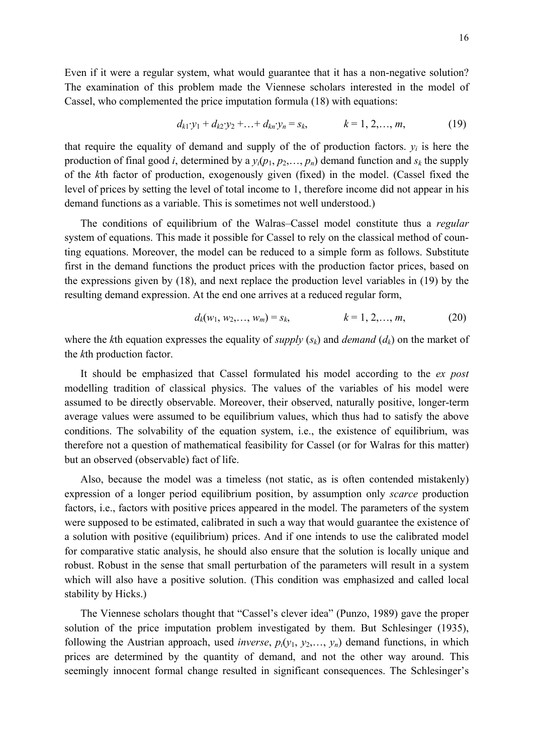Even if it were a regular system, what would guarantee that it has a non-negative solution? The examination of this problem made the Viennese scholars interested in the model of Cassel, who complemented the price imputation formula (18) with equations:

$$
d_{k1} \cdot y_1 + d_{k2} \cdot y_2 + \ldots + d_{kn} \cdot y_n = s_k, \qquad k = 1, 2, \ldots, m,
$$
 (19)

that require the equality of demand and supply of the of production factors.  $y_i$  is here the production of final good *i*, determined by a  $y_i(p_1, p_2, \ldots, p_n)$  demand function and  $s_k$  the supply of the *k*th factor of production, exogenously given (fixed) in the model. (Cassel fixed the level of prices by setting the level of total income to 1, therefore income did not appear in his demand functions as a variable. This is sometimes not well understood.)

The conditions of equilibrium of the Walras–Cassel model constitute thus a *regular* system of equations. This made it possible for Cassel to rely on the classical method of counting equations. Moreover, the model can be reduced to a simple form as follows. Substitute first in the demand functions the product prices with the production factor prices, based on the expressions given by (18), and next replace the production level variables in (19) by the resulting demand expression. At the end one arrives at a reduced regular form,

$$
d_k(w_1, w_2, \ldots, w_m) = s_k, \qquad k = 1, 2, \ldots, m,
$$
 (20)

where the *k*th equation expresses the equality of *supply*  $(s_k)$  and *demand*  $(d_k)$  on the market of the *k*th production factor.

It should be emphasized that Cassel formulated his model according to the *ex post* modelling tradition of classical physics. The values of the variables of his model were assumed to be directly observable. Moreover, their observed, naturally positive, longer-term average values were assumed to be equilibrium values, which thus had to satisfy the above conditions. The solvability of the equation system, i.e., the existence of equilibrium, was therefore not a question of mathematical feasibility for Cassel (or for Walras for this matter) but an observed (observable) fact of life.

Also, because the model was a timeless (not static, as is often contended mistakenly) expression of a longer period equilibrium position, by assumption only *scarce* production factors, i.e., factors with positive prices appeared in the model. The parameters of the system were supposed to be estimated, calibrated in such a way that would guarantee the existence of a solution with positive (equilibrium) prices. And if one intends to use the calibrated model for comparative static analysis, he should also ensure that the solution is locally unique and robust. Robust in the sense that small perturbation of the parameters will result in a system which will also have a positive solution. (This condition was emphasized and called local stability by Hicks.)

The Viennese scholars thought that "Cassel's clever idea" (Punzo, 1989) gave the proper solution of the price imputation problem investigated by them. But Schlesinger (1935), following the Austrian approach, used *inverse*,  $p_i(y_1, y_2,..., y_n)$  demand functions, in which prices are determined by the quantity of demand, and not the other way around. This seemingly innocent formal change resulted in significant consequences. The Schlesinger's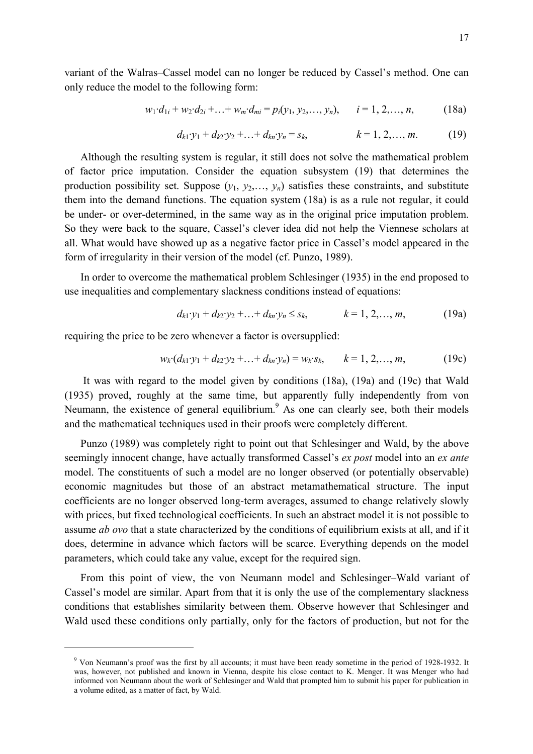variant of the Walras–Cassel model can no longer be reduced by Cassel's method. One can only reduce the model to the following form:

$$
w_1 \cdot d_{1i} + w_2 \cdot d_{2i} + \ldots + w_m \cdot d_{mi} = p_i(y_1, y_2, \ldots, y_n), \qquad i = 1, 2, \ldots, n,
$$
 (18a)

$$
d_{k1} \cdot y_1 + d_{k2} \cdot y_2 + \ldots + d_{kn} \cdot y_n = s_k, \qquad k = 1, 2, \ldots, m. \qquad (19)
$$

Although the resulting system is regular, it still does not solve the mathematical problem of factor price imputation. Consider the equation subsystem (19) that determines the production possibility set. Suppose  $(y_1, y_2, \ldots, y_n)$  satisfies these constraints, and substitute them into the demand functions. The equation system (18a) is as a rule not regular, it could be under- or over-determined, in the same way as in the original price imputation problem. So they were back to the square, Cassel's clever idea did not help the Viennese scholars at all. What would have showed up as a negative factor price in Cassel's model appeared in the form of irregularity in their version of the model (cf. Punzo, 1989).

In order to overcome the mathematical problem Schlesinger (1935) in the end proposed to use inequalities and complementary slackness conditions instead of equations:

$$
d_{k1} \cdot y_1 + d_{k2} \cdot y_2 + \ldots + d_{kn} \cdot y_n \leq s_k, \qquad k = 1, 2, \ldots, m,
$$
 (19a)

requiring the price to be zero whenever a factor is oversupplied:

 $\overline{a}$ 

$$
w_k \cdot (d_{k1} \cdot y_1 + d_{k2} \cdot y_2 + \ldots + d_{kn} \cdot y_n) = w_k \cdot s_k, \qquad k = 1, 2, \ldots, m,
$$
 (19c)

 It was with regard to the model given by conditions (18a), (19a) and (19c) that Wald (1935) proved, roughly at the same time, but apparently fully independently from von Neumann, the existence of general equilibrium.<sup>9</sup> As one can clearly see, both their models and the mathematical techniques used in their proofs were completely different.

Punzo (1989) was completely right to point out that Schlesinger and Wald, by the above seemingly innocent change, have actually transformed Cassel's *ex post* model into an *ex ante* model. The constituents of such a model are no longer observed (or potentially observable) economic magnitudes but those of an abstract metamathematical structure. The input coefficients are no longer observed long-term averages, assumed to change relatively slowly with prices, but fixed technological coefficients. In such an abstract model it is not possible to assume *ab ovo* that a state characterized by the conditions of equilibrium exists at all, and if it does, determine in advance which factors will be scarce. Everything depends on the model parameters, which could take any value, except for the required sign.

From this point of view, the von Neumann model and Schlesinger–Wald variant of Cassel's model are similar. Apart from that it is only the use of the complementary slackness conditions that establishes similarity between them. Observe however that Schlesinger and Wald used these conditions only partially, only for the factors of production, but not for the

<sup>&</sup>lt;sup>9</sup> Von Neumann's proof was the first by all accounts; it must have been ready sometime in the period of 1928-1932. It was, however, not published and known in Vienna, despite his close contact to K. Menger. It was Menger who had informed von Neumann about the work of Schlesinger and Wald that prompted him to submit his paper for publication in a volume edited, as a matter of fact, by Wald.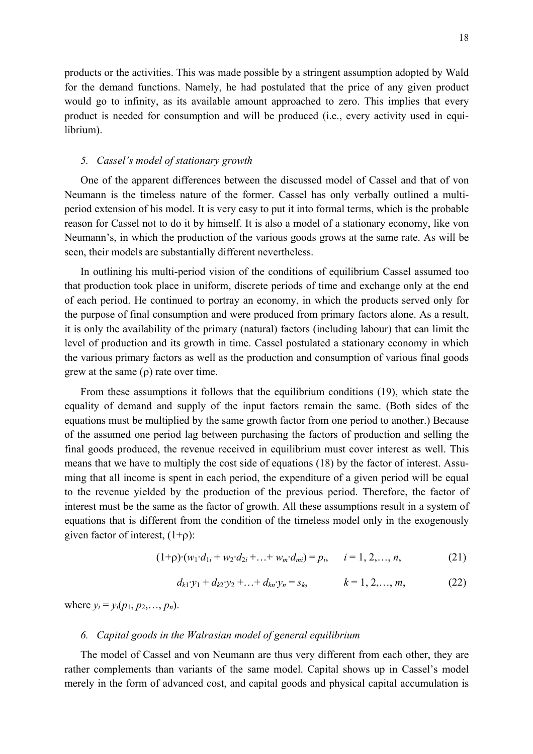products or the activities. This was made possible by a stringent assumption adopted by Wald for the demand functions. Namely, he had postulated that the price of any given product would go to infinity, as its available amount approached to zero. This implies that every product is needed for consumption and will be produced (i.e., every activity used in equilibrium).

#### *5. Cassel's model of stationary growth*

One of the apparent differences between the discussed model of Cassel and that of von Neumann is the timeless nature of the former. Cassel has only verbally outlined a multiperiod extension of his model. It is very easy to put it into formal terms, which is the probable reason for Cassel not to do it by himself. It is also a model of a stationary economy, like von Neumann's, in which the production of the various goods grows at the same rate. As will be seen, their models are substantially different nevertheless.

In outlining his multi-period vision of the conditions of equilibrium Cassel assumed too that production took place in uniform, discrete periods of time and exchange only at the end of each period. He continued to portray an economy, in which the products served only for the purpose of final consumption and were produced from primary factors alone. As a result, it is only the availability of the primary (natural) factors (including labour) that can limit the level of production and its growth in time. Cassel postulated a stationary economy in which the various primary factors as well as the production and consumption of various final goods grew at the same (ρ) rate over time.

From these assumptions it follows that the equilibrium conditions (19), which state the equality of demand and supply of the input factors remain the same. (Both sides of the equations must be multiplied by the same growth factor from one period to another.) Because of the assumed one period lag between purchasing the factors of production and selling the final goods produced, the revenue received in equilibrium must cover interest as well. This means that we have to multiply the cost side of equations (18) by the factor of interest. Assuming that all income is spent in each period, the expenditure of a given period will be equal to the revenue yielded by the production of the previous period. Therefore, the factor of interest must be the same as the factor of growth. All these assumptions result in a system of equations that is different from the condition of the timeless model only in the exogenously given factor of interest,  $(1+<sub>p</sub>)$ :

$$
(1+\rho)\cdot(w_1\cdot d_{1i}+w_2\cdot d_{2i}+...+w_m\cdot d_{mi})=p_i, \quad i=1,2,...,n,
$$
\n(21)

$$
d_{k1}y_1 + d_{k2}y_2 + \ldots + d_{kn}y_n = s_k, \qquad k = 1, 2, \ldots, m,
$$
 (22)

where  $y_i = y_i(p_1, p_2, \ldots, p_n)$ .

#### *6. Capital goods in the Walrasian model of general equilibrium*

The model of Cassel and von Neumann are thus very different from each other, they are rather complements than variants of the same model. Capital shows up in Cassel's model merely in the form of advanced cost, and capital goods and physical capital accumulation is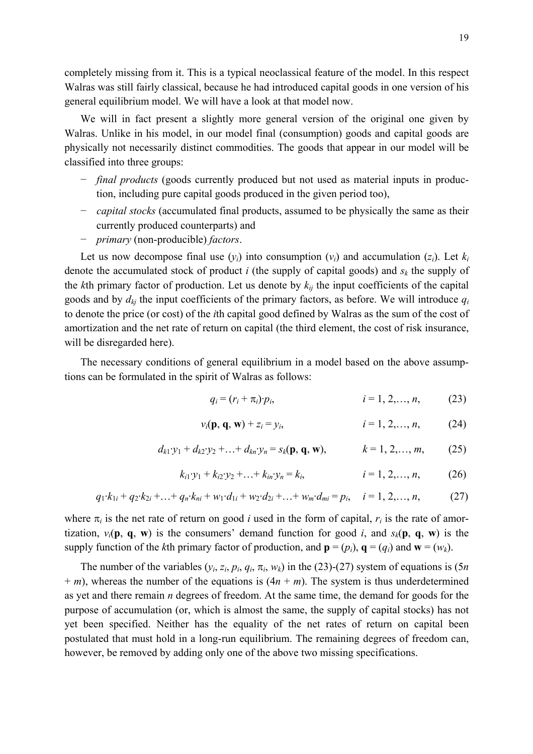completely missing from it. This is a typical neoclassical feature of the model. In this respect Walras was still fairly classical, because he had introduced capital goods in one version of his general equilibrium model. We will have a look at that model now.

We will in fact present a slightly more general version of the original one given by Walras. Unlike in his model, in our model final (consumption) goods and capital goods are physically not necessarily distinct commodities. The goods that appear in our model will be classified into three groups:

- − *final products* (goods currently produced but not used as material inputs in production, including pure capital goods produced in the given period too),
- − *capital stocks* (accumulated final products, assumed to be physically the same as their currently produced counterparts) and
- − *primary* (non-producible) *factors*.

Let us now decompose final use  $(v_i)$  into consumption  $(v_i)$  and accumulation  $(z_i)$ . Let  $k_i$ denote the accumulated stock of product *i* (the supply of capital goods) and  $s_k$  the supply of the *k*th primary factor of production. Let us denote by  $k_{ij}$  the input coefficients of the capital goods and by  $d_{kj}$  the input coefficients of the primary factors, as before. We will introduce  $q_i$ to denote the price (or cost) of the *i*th capital good defined by Walras as the sum of the cost of amortization and the net rate of return on capital (the third element, the cost of risk insurance, will be disregarded here).

The necessary conditions of general equilibrium in a model based on the above assumptions can be formulated in the spirit of Walras as follows:

$$
q_i = (r_i + \pi_i) \cdot p_i, \qquad i = 1, 2, ..., n,
$$
 (23)

$$
v_i(\mathbf{p}, \mathbf{q}, \mathbf{w}) + z_i = y_i, \qquad i = 1, 2, ..., n,
$$
 (24)

$$
d_{k1} \cdot y_1 + d_{k2} \cdot y_2 + \ldots + d_{kn} \cdot y_n = s_k(\mathbf{p}, \mathbf{q}, \mathbf{w}), \qquad k = 1, 2, \ldots, m,
$$
 (25)

$$
k_{i1} \cdot y_1 + k_{i2} \cdot y_2 + \ldots + k_{in} \cdot y_n = k_i, \qquad i = 1, 2, \ldots, n,
$$
 (26)

$$
q_1 \cdot k_{1i} + q_2 \cdot k_{2i} + \ldots + q_n \cdot k_{ni} + w_1 \cdot d_{1i} + w_2 \cdot d_{2i} + \ldots + w_m \cdot d_{mi} = p_i, \quad i = 1, 2, \ldots, n,
$$
 (27)

where  $\pi_i$  is the net rate of return on good *i* used in the form of capital,  $r_i$  is the rate of amortization,  $v_i(\mathbf{p}, \mathbf{q}, \mathbf{w})$  is the consumers' demand function for good *i*, and  $s_k(\mathbf{p}, \mathbf{q}, \mathbf{w})$  is the supply function of the *k*th primary factor of production, and  $\mathbf{p} = (p_i)$ ,  $\mathbf{q} = (q_i)$  and  $\mathbf{w} = (w_k)$ .

The number of the variables  $(y_i, z_i, p_i, q_i, \pi_i, w_k)$  in the (23)-(27) system of equations is (5*n*)  $+m$ ), whereas the number of the equations is  $(4n + m)$ . The system is thus underdetermined as yet and there remain *n* degrees of freedom. At the same time, the demand for goods for the purpose of accumulation (or, which is almost the same, the supply of capital stocks) has not yet been specified. Neither has the equality of the net rates of return on capital been postulated that must hold in a long-run equilibrium. The remaining degrees of freedom can, however, be removed by adding only one of the above two missing specifications.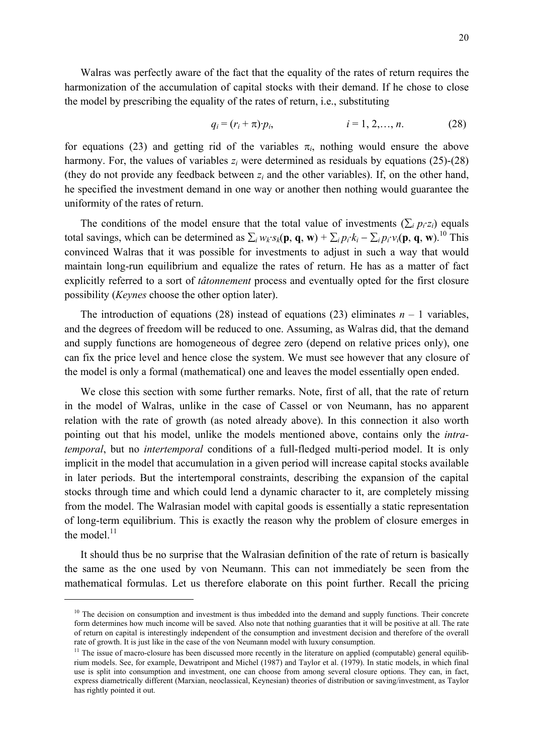Walras was perfectly aware of the fact that the equality of the rates of return requires the harmonization of the accumulation of capital stocks with their demand. If he chose to close the model by prescribing the equality of the rates of return, i.e., substituting

$$
q_i = (r_i + \pi) \cdot p_i, \qquad i = 1, 2, ..., n. \qquad (28)
$$

for equations (23) and getting rid of the variables  $\pi_i$ , nothing would ensure the above harmony. For, the values of variables  $z_i$  were determined as residuals by equations (25)-(28) (they do not provide any feedback between *zi* and the other variables). If, on the other hand, he specified the investment demand in one way or another then nothing would guarantee the uniformity of the rates of return.

The conditions of the model ensure that the total value of investments  $(\sum_i p_i \cdot z_i)$  equals total savings, which can be determined as  $\sum_i w_k \cdot s_k(\mathbf{p}, \mathbf{q}, \mathbf{w}) + \sum_i p_i \cdot k_i - \sum_i p_i \cdot v_i(\mathbf{p}, \mathbf{q}, \mathbf{w})$ .<sup>10</sup> This convinced Walras that it was possible for investments to adjust in such a way that would maintain long-run equilibrium and equalize the rates of return. He has as a matter of fact explicitly referred to a sort of *tâtonnement* process and eventually opted for the first closure possibility (*Keynes* choose the other option later).

The introduction of equations (28) instead of equations (23) eliminates  $n - 1$  variables, and the degrees of freedom will be reduced to one. Assuming, as Walras did, that the demand and supply functions are homogeneous of degree zero (depend on relative prices only), one can fix the price level and hence close the system. We must see however that any closure of the model is only a formal (mathematical) one and leaves the model essentially open ended.

We close this section with some further remarks. Note, first of all, that the rate of return in the model of Walras, unlike in the case of Cassel or von Neumann, has no apparent relation with the rate of growth (as noted already above). In this connection it also worth pointing out that his model, unlike the models mentioned above, contains only the *intratemporal*, but no *intertemporal* conditions of a full-fledged multi-period model. It is only implicit in the model that accumulation in a given period will increase capital stocks available in later periods. But the intertemporal constraints, describing the expansion of the capital stocks through time and which could lend a dynamic character to it, are completely missing from the model. The Walrasian model with capital goods is essentially a static representation of long-term equilibrium. This is exactly the reason why the problem of closure emerges in the model. $^{11}$ 

It should thus be no surprise that the Walrasian definition of the rate of return is basically the same as the one used by von Neumann. This can not immediately be seen from the mathematical formulas. Let us therefore elaborate on this point further. Recall the pricing

<sup>&</sup>lt;sup>10</sup> The decision on consumption and investment is thus imbedded into the demand and supply functions. Their concrete form determines how much income will be saved. Also note that nothing guaranties that it will be positive at all. The rate of return on capital is interestingly independent of the consumption and investment decision and therefore of the overall

 $11$  The issue of macro-closure has been discussed more recently in the literature on applied (computable) general equilibrium models. See, for example, Dewatripont and Michel (1987) and Taylor et al. (1979). In static models, in which final use is split into consumption and investment, one can choose from among several closure options. They can, in fact, express diametrically different (Marxian, neoclassical, Keynesian) theories of distribution or saving/investment, as Taylor has rightly pointed it out.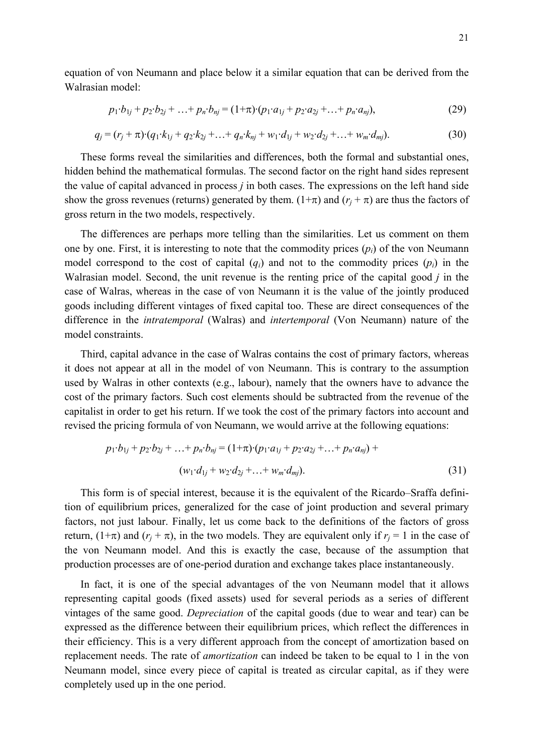equation of von Neumann and place below it a similar equation that can be derived from the Walrasian model:

$$
p_1 \cdot b_{1j} + p_2 \cdot b_{2j} + \ldots + p_n \cdot b_{nj} = (1 + \pi) \cdot (p_1 \cdot a_{1j} + p_2 \cdot a_{2j} + \ldots + p_n \cdot a_{nj}),\tag{29}
$$

$$
q_j = (r_j + \pi) \cdot (q_1 \cdot k_{1j} + q_2 \cdot k_{2j} + \ldots + q_n \cdot k_{nj} + w_1 \cdot d_{1j} + w_2 \cdot d_{2j} + \ldots + w_m \cdot d_{mj}).
$$
\n(30)

These forms reveal the similarities and differences, both the formal and substantial ones, hidden behind the mathematical formulas. The second factor on the right hand sides represent the value of capital advanced in process *j* in both cases. The expressions on the left hand side show the gross revenues (returns) generated by them.  $(1+\pi)$  and  $(r_i + \pi)$  are thus the factors of gross return in the two models, respectively.

The differences are perhaps more telling than the similarities. Let us comment on them one by one. First, it is interesting to note that the commodity prices (*pi*) of the von Neumann model correspond to the cost of capital  $(q_i)$  and not to the commodity prices  $(p_i)$  in the Walrasian model. Second, the unit revenue is the renting price of the capital good *j* in the case of Walras, whereas in the case of von Neumann it is the value of the jointly produced goods including different vintages of fixed capital too. These are direct consequences of the difference in the *intratemporal* (Walras) and *intertemporal* (Von Neumann) nature of the model constraints.

Third, capital advance in the case of Walras contains the cost of primary factors, whereas it does not appear at all in the model of von Neumann. This is contrary to the assumption used by Walras in other contexts (e.g., labour), namely that the owners have to advance the cost of the primary factors. Such cost elements should be subtracted from the revenue of the capitalist in order to get his return. If we took the cost of the primary factors into account and revised the pricing formula of von Neumann, we would arrive at the following equations:

$$
p_1 \cdot b_{1j} + p_2 \cdot b_{2j} + \ldots + p_n \cdot b_{nj} = (1 + \pi) \cdot (p_1 \cdot a_{1j} + p_2 \cdot a_{2j} + \ldots + p_n \cdot a_{nj}) +
$$
  

$$
(w_1 \cdot d_{1j} + w_2 \cdot d_{2j} + \ldots + w_m \cdot d_{mj}).
$$
 (31)

This form is of special interest, because it is the equivalent of the Ricardo–Sraffa definition of equilibrium prices, generalized for the case of joint production and several primary factors, not just labour. Finally, let us come back to the definitions of the factors of gross return,  $(1+\pi)$  and  $(r_i + \pi)$ , in the two models. They are equivalent only if  $r_i = 1$  in the case of the von Neumann model. And this is exactly the case, because of the assumption that production processes are of one-period duration and exchange takes place instantaneously.

In fact, it is one of the special advantages of the von Neumann model that it allows representing capital goods (fixed assets) used for several periods as a series of different vintages of the same good. *Depreciation* of the capital goods (due to wear and tear) can be expressed as the difference between their equilibrium prices, which reflect the differences in their efficiency. This is a very different approach from the concept of amortization based on replacement needs. The rate of *amortization* can indeed be taken to be equal to 1 in the von Neumann model, since every piece of capital is treated as circular capital, as if they were completely used up in the one period.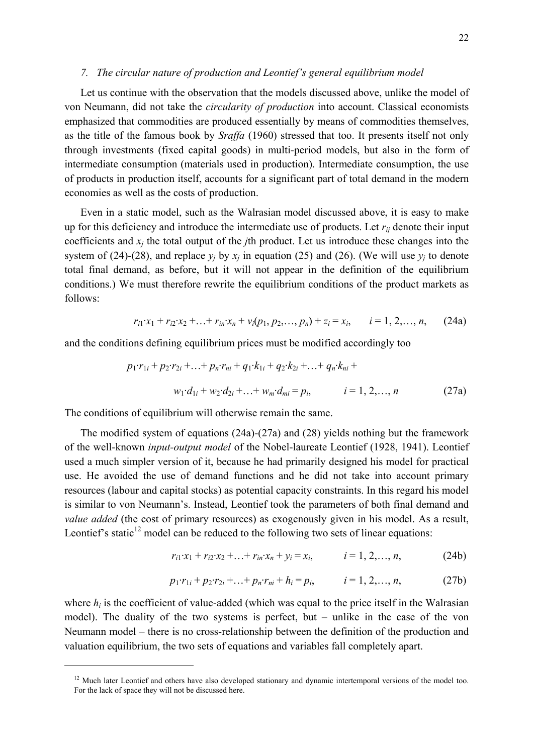#### *7. The circular nature of production and Leontief's general equilibrium model*

Let us continue with the observation that the models discussed above, unlike the model of von Neumann, did not take the *circularity of production* into account. Classical economists emphasized that commodities are produced essentially by means of commodities themselves, as the title of the famous book by *Sraffa* (1960) stressed that too. It presents itself not only through investments (fixed capital goods) in multi-period models, but also in the form of intermediate consumption (materials used in production). Intermediate consumption, the use of products in production itself, accounts for a significant part of total demand in the modern economies as well as the costs of production.

Even in a static model, such as the Walrasian model discussed above, it is easy to make up for this deficiency and introduce the intermediate use of products. Let  $r_{ii}$  denote their input coefficients and *xj* the total output of the *j*th product. Let us introduce these changes into the system of (24)-(28), and replace  $y_i$  by  $x_i$  in equation (25) and (26). (We will use  $y_i$  to denote total final demand, as before, but it will not appear in the definition of the equilibrium conditions.) We must therefore rewrite the equilibrium conditions of the product markets as follows:

$$
r_{i1} \cdot x_1 + r_{i2} \cdot x_2 + \ldots + r_{in} \cdot x_n + v_i(p_1, p_2, \ldots, p_n) + z_i = x_i, \qquad i = 1, 2, \ldots, n, \qquad (24a)
$$

and the conditions defining equilibrium prices must be modified accordingly too

$$
p_1 \cdot r_{1i} + p_2 \cdot r_{2i} + \ldots + p_n \cdot r_{ni} + q_1 \cdot k_{1i} + q_2 \cdot k_{2i} + \ldots + q_n \cdot k_{ni} +
$$
  

$$
w_1 \cdot d_{1i} + w_2 \cdot d_{2i} + \ldots + w_m \cdot d_{mi} = p_i, \qquad i = 1, 2, \ldots, n
$$
 (27a)

The conditions of equilibrium will otherwise remain the same.

 $\overline{a}$ 

The modified system of equations (24a)-(27a) and (28) yields nothing but the framework of the well-known *input-output model* of the Nobel-laureate Leontief (1928, 1941). Leontief used a much simpler version of it, because he had primarily designed his model for practical use. He avoided the use of demand functions and he did not take into account primary resources (labour and capital stocks) as potential capacity constraints. In this regard his model is similar to von Neumann's. Instead, Leontief took the parameters of both final demand and *value added* (the cost of primary resources) as exogenously given in his model. As a result, Leontief's static $12$  model can be reduced to the following two sets of linear equations:

$$
r_{i1} \cdot x_1 + r_{i2} \cdot x_2 + \ldots + r_{in} \cdot x_n + y_i = x_i, \qquad i = 1, 2, \ldots, n,
$$
 (24b)

$$
p_1 \cdot r_{1i} + p_2 \cdot r_{2i} + \ldots + p_n \cdot r_{ni} + h_i = p_i, \qquad i = 1, 2, \ldots, n,
$$
 (27b)

where  $h_i$  is the coefficient of value-added (which was equal to the price itself in the Walrasian model). The duality of the two systems is perfect, but – unlike in the case of the von Neumann model – there is no cross-relationship between the definition of the production and valuation equilibrium, the two sets of equations and variables fall completely apart.

<sup>&</sup>lt;sup>12</sup> Much later Leontief and others have also developed stationary and dynamic intertemporal versions of the model too. For the lack of space they will not be discussed here.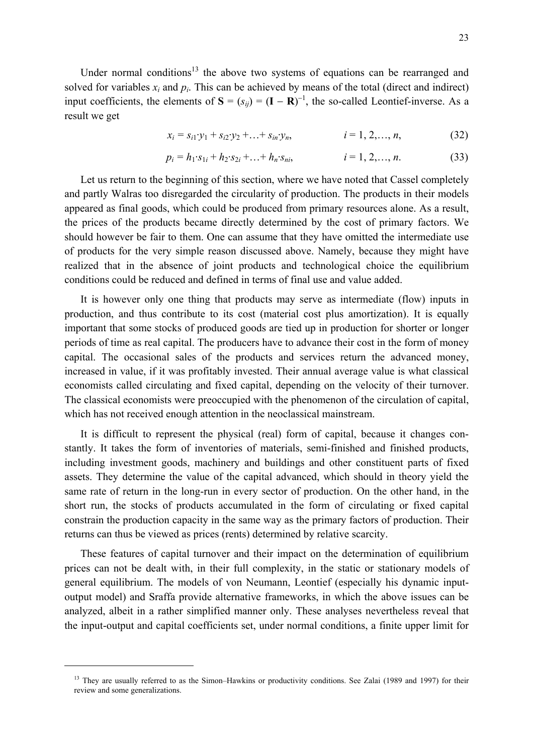Under normal conditions<sup>13</sup> the above two systems of equations can be rearranged and solved for variables  $x_i$  and  $p_i$ . This can be achieved by means of the total (direct and indirect) input coefficients, the elements of  $S = (s_{ij}) = (I - R)^{-1}$ , the so-called Leontief-inverse. As a result we get

$$
x_i = s_{i1} \cdot y_1 + s_{i2} \cdot y_2 + \ldots + s_{in} \cdot y_n, \qquad i = 1, 2, \ldots, n,
$$
 (32)

$$
p_i = h_1 \cdot s_{1i} + h_2 \cdot s_{2i} + \ldots + h_n \cdot s_{ni}, \qquad i = 1, 2, \ldots, n. \tag{33}
$$

Let us return to the beginning of this section, where we have noted that Cassel completely and partly Walras too disregarded the circularity of production. The products in their models appeared as final goods, which could be produced from primary resources alone. As a result, the prices of the products became directly determined by the cost of primary factors. We should however be fair to them. One can assume that they have omitted the intermediate use of products for the very simple reason discussed above. Namely, because they might have realized that in the absence of joint products and technological choice the equilibrium conditions could be reduced and defined in terms of final use and value added.

It is however only one thing that products may serve as intermediate (flow) inputs in production, and thus contribute to its cost (material cost plus amortization). It is equally important that some stocks of produced goods are tied up in production for shorter or longer periods of time as real capital. The producers have to advance their cost in the form of money capital. The occasional sales of the products and services return the advanced money, increased in value, if it was profitably invested. Their annual average value is what classical economists called circulating and fixed capital, depending on the velocity of their turnover. The classical economists were preoccupied with the phenomenon of the circulation of capital, which has not received enough attention in the neoclassical mainstream.

It is difficult to represent the physical (real) form of capital, because it changes constantly. It takes the form of inventories of materials, semi-finished and finished products, including investment goods, machinery and buildings and other constituent parts of fixed assets. They determine the value of the capital advanced, which should in theory yield the same rate of return in the long-run in every sector of production. On the other hand, in the short run, the stocks of products accumulated in the form of circulating or fixed capital constrain the production capacity in the same way as the primary factors of production. Their returns can thus be viewed as prices (rents) determined by relative scarcity.

These features of capital turnover and their impact on the determination of equilibrium prices can not be dealt with, in their full complexity, in the static or stationary models of general equilibrium. The models of von Neumann, Leontief (especially his dynamic inputoutput model) and Sraffa provide alternative frameworks, in which the above issues can be analyzed, albeit in a rather simplified manner only. These analyses nevertheless reveal that the input-output and capital coefficients set, under normal conditions, a finite upper limit for

<sup>&</sup>lt;sup>13</sup> They are usually referred to as the Simon–Hawkins or productivity conditions. See Zalai (1989 and 1997) for their review and some generalizations.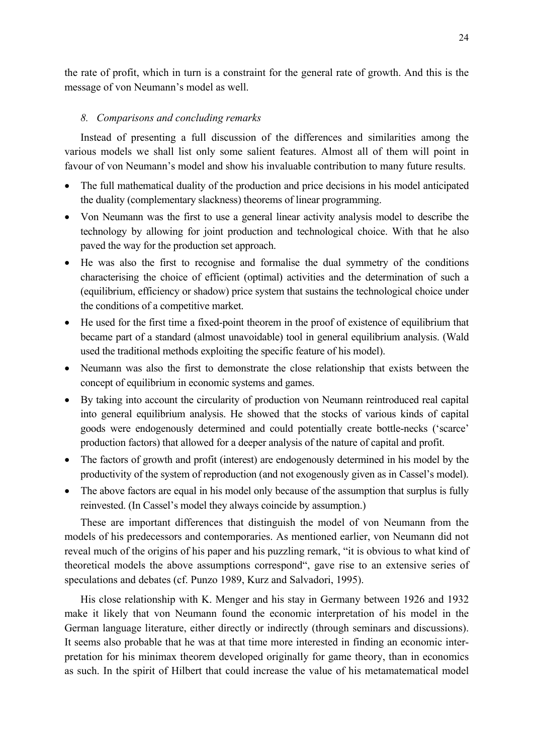the rate of profit, which in turn is a constraint for the general rate of growth. And this is the message of von Neumann's model as well.

#### *8. Comparisons and concluding remarks*

Instead of presenting a full discussion of the differences and similarities among the various models we shall list only some salient features. Almost all of them will point in favour of von Neumann's model and show his invaluable contribution to many future results.

- The full mathematical duality of the production and price decisions in his model anticipated the duality (complementary slackness) theorems of linear programming.
- Von Neumann was the first to use a general linear activity analysis model to describe the technology by allowing for joint production and technological choice. With that he also paved the way for the production set approach.
- He was also the first to recognise and formalise the dual symmetry of the conditions characterising the choice of efficient (optimal) activities and the determination of such a (equilibrium, efficiency or shadow) price system that sustains the technological choice under the conditions of a competitive market.
- He used for the first time a fixed-point theorem in the proof of existence of equilibrium that became part of a standard (almost unavoidable) tool in general equilibrium analysis. (Wald used the traditional methods exploiting the specific feature of his model).
- Neumann was also the first to demonstrate the close relationship that exists between the concept of equilibrium in economic systems and games.
- By taking into account the circularity of production von Neumann reintroduced real capital into general equilibrium analysis. He showed that the stocks of various kinds of capital goods were endogenously determined and could potentially create bottle-necks ('scarce' production factors) that allowed for a deeper analysis of the nature of capital and profit.
- The factors of growth and profit (interest) are endogenously determined in his model by the productivity of the system of reproduction (and not exogenously given as in Cassel's model).
- The above factors are equal in his model only because of the assumption that surplus is fully reinvested. (In Cassel's model they always coincide by assumption.)

These are important differences that distinguish the model of von Neumann from the models of his predecessors and contemporaries. As mentioned earlier, von Neumann did not reveal much of the origins of his paper and his puzzling remark, "it is obvious to what kind of theoretical models the above assumptions correspond", gave rise to an extensive series of speculations and debates (cf. Punzo 1989, Kurz and Salvadori, 1995).

His close relationship with K. Menger and his stay in Germany between 1926 and 1932 make it likely that von Neumann found the economic interpretation of his model in the German language literature, either directly or indirectly (through seminars and discussions). It seems also probable that he was at that time more interested in finding an economic interpretation for his minimax theorem developed originally for game theory, than in economics as such. In the spirit of Hilbert that could increase the value of his metamatematical model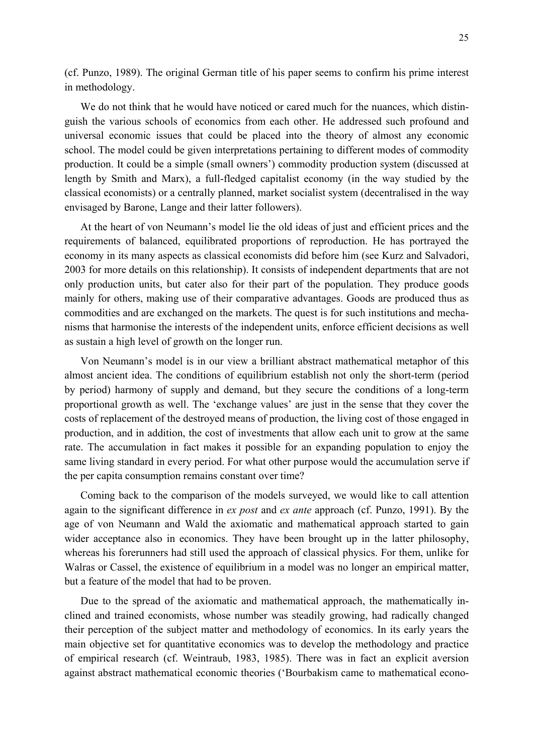(cf. Punzo, 1989). The original German title of his paper seems to confirm his prime interest in methodology.

We do not think that he would have noticed or cared much for the nuances, which distinguish the various schools of economics from each other. He addressed such profound and universal economic issues that could be placed into the theory of almost any economic school. The model could be given interpretations pertaining to different modes of commodity production. It could be a simple (small owners') commodity production system (discussed at length by Smith and Marx), a full-fledged capitalist economy (in the way studied by the classical economists) or a centrally planned, market socialist system (decentralised in the way envisaged by Barone, Lange and their latter followers).

At the heart of von Neumann's model lie the old ideas of just and efficient prices and the requirements of balanced, equilibrated proportions of reproduction. He has portrayed the economy in its many aspects as classical economists did before him (see Kurz and Salvadori, 2003 for more details on this relationship). It consists of independent departments that are not only production units, but cater also for their part of the population. They produce goods mainly for others, making use of their comparative advantages. Goods are produced thus as commodities and are exchanged on the markets. The quest is for such institutions and mechanisms that harmonise the interests of the independent units, enforce efficient decisions as well as sustain a high level of growth on the longer run.

Von Neumann's model is in our view a brilliant abstract mathematical metaphor of this almost ancient idea. The conditions of equilibrium establish not only the short-term (period by period) harmony of supply and demand, but they secure the conditions of a long-term proportional growth as well. The 'exchange values' are just in the sense that they cover the costs of replacement of the destroyed means of production, the living cost of those engaged in production, and in addition, the cost of investments that allow each unit to grow at the same rate. The accumulation in fact makes it possible for an expanding population to enjoy the same living standard in every period. For what other purpose would the accumulation serve if the per capita consumption remains constant over time?

Coming back to the comparison of the models surveyed, we would like to call attention again to the significant difference in *ex post* and *ex ante* approach (cf. Punzo, 1991). By the age of von Neumann and Wald the axiomatic and mathematical approach started to gain wider acceptance also in economics. They have been brought up in the latter philosophy, whereas his forerunners had still used the approach of classical physics. For them, unlike for Walras or Cassel, the existence of equilibrium in a model was no longer an empirical matter, but a feature of the model that had to be proven.

Due to the spread of the axiomatic and mathematical approach, the mathematically inclined and trained economists, whose number was steadily growing, had radically changed their perception of the subject matter and methodology of economics. In its early years the main objective set for quantitative economics was to develop the methodology and practice of empirical research (cf. Weintraub, 1983, 1985). There was in fact an explicit aversion against abstract mathematical economic theories ('Bourbakism came to mathematical econo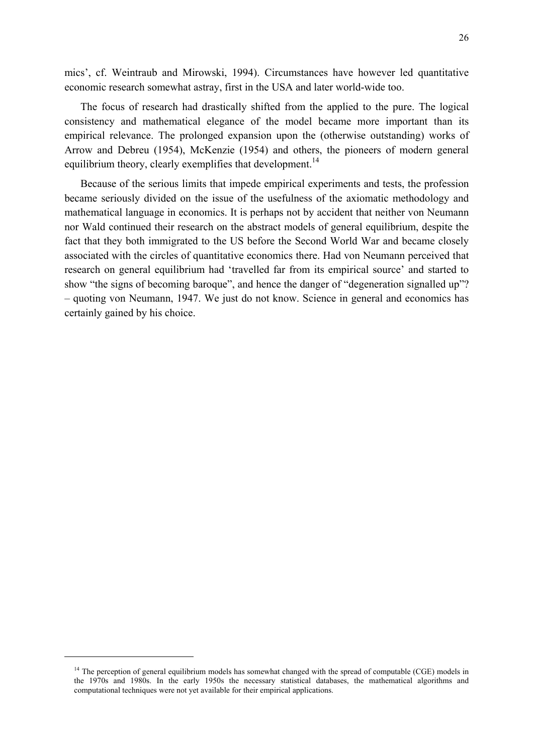mics', cf. Weintraub and Mirowski, 1994). Circumstances have however led quantitative economic research somewhat astray, first in the USA and later world-wide too.

The focus of research had drastically shifted from the applied to the pure. The logical consistency and mathematical elegance of the model became more important than its empirical relevance. The prolonged expansion upon the (otherwise outstanding) works of Arrow and Debreu (1954), McKenzie (1954) and others, the pioneers of modern general equilibrium theory, clearly exemplifies that development.<sup>14</sup>

Because of the serious limits that impede empirical experiments and tests, the profession became seriously divided on the issue of the usefulness of the axiomatic methodology and mathematical language in economics. It is perhaps not by accident that neither von Neumann nor Wald continued their research on the abstract models of general equilibrium, despite the fact that they both immigrated to the US before the Second World War and became closely associated with the circles of quantitative economics there. Had von Neumann perceived that research on general equilibrium had 'travelled far from its empirical source' and started to show "the signs of becoming baroque", and hence the danger of "degeneration signalled up"? – quoting von Neumann, 1947. We just do not know. Science in general and economics has certainly gained by his choice.

 $14$  The perception of general equilibrium models has somewhat changed with the spread of computable (CGE) models in the 1970s and 1980s. In the early 1950s the necessary statistical databases, the mathematical algorithms and computational techniques were not yet available for their empirical applications.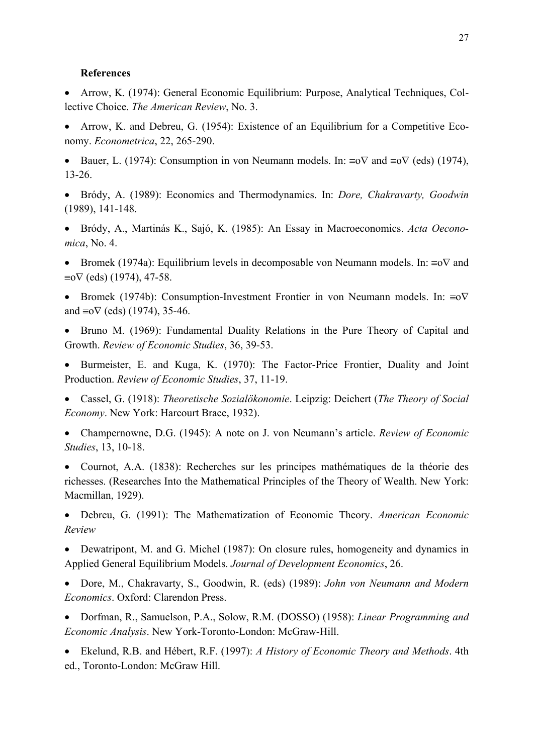#### **References**

• Arrow, K. (1974): General Economic Equilibrium: Purpose, Analytical Techniques, Collective Choice. *The American Review*, No. 3.

- Arrow, K. and Debreu, G. (1954): Existence of an Equilibrium for a Competitive Economy. *Econometrica*, 22, 265-290.
- Bauer, L. (1974): Consumption in von Neumann models. In:  $\equiv o \nabla$  and  $\equiv o \nabla$  (eds) (1974), 13-26.
- Bródy, A. (1989): Economics and Thermodynamics. In: *Dore, Chakravarty, Goodwin* (1989), 141-148.
- Bródy, A., Martinás K., Sajó, K. (1985): An Essay in Macroeconomics. *Acta Oeconomica*, No. 4.
- Bromek (1974a): Equilibrium levels in decomposable von Neumann models. In: ≡o∇ and  $\equiv$ o $∇$  (eds) (1974), 47-58.
- Bromek (1974b): Consumption-Investment Frontier in von Neumann models. In: ≡o∇ and  $\equiv oV$  (eds) (1974), 35-46.
- Bruno M. (1969): Fundamental Duality Relations in the Pure Theory of Capital and Growth. *Review of Economic Studies*, 36, 39-53.
- Burmeister, E. and Kuga, K. (1970): The Factor-Price Frontier, Duality and Joint Production. *Review of Economic Studies*, 37, 11-19.
- Cassel, G. (1918): *Theoretische Sozialökonomie*. Leipzig: Deichert (*The Theory of Social Economy*. New York: Harcourt Brace, 1932).
- Champernowne, D.G. (1945): A note on J. von Neumann's article. *Review of Economic Studies*, 13, 10-18.
- Cournot, A.A. (1838): Recherches sur les principes mathématiques de la théorie des richesses. (Researches Into the Mathematical Principles of the Theory of Wealth. New York: Macmillan, 1929).
- Debreu, G. (1991): The Mathematization of Economic Theory. *American Economic Review*
- Dewatripont, M. and G. Michel (1987): On closure rules, homogeneity and dynamics in Applied General Equilibrium Models. *Journal of Development Economics*, 26.
- Dore, M., Chakravarty, S., Goodwin, R. (eds) (1989): *John von Neumann and Modern Economics*. Oxford: Clarendon Press.
- Dorfman, R., Samuelson, P.A., Solow, R.M. (DOSSO) (1958): *Linear Programming and Economic Analysis*. New York-Toronto-London: McGraw-Hill.
- Ekelund, R.B. and Hébert, R.F. (1997): *A History of Economic Theory and Methods*. 4th ed., Toronto-London: McGraw Hill.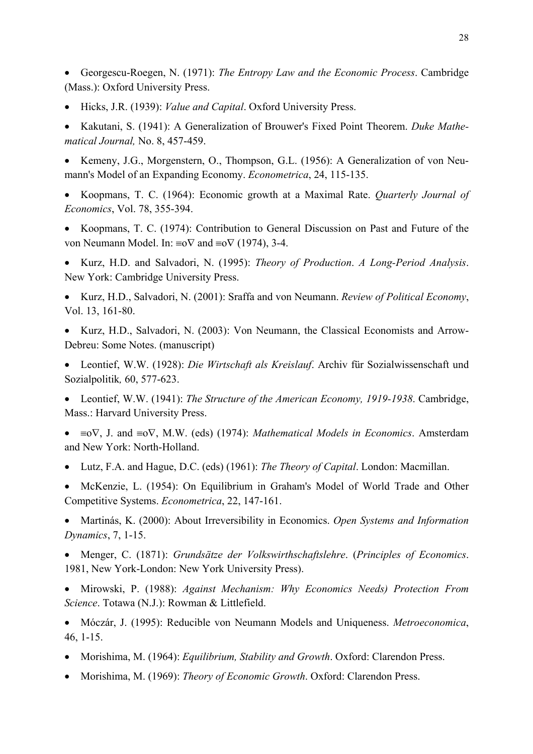• Georgescu-Roegen, N. (1971): *The Entropy Law and the Economic Process*. Cambridge (Mass.): Oxford University Press.

• Hicks, J.R. (1939): *Value and Capital*. Oxford University Press.

• Kakutani, S. (1941): A Generalization of Brouwer's Fixed Point Theorem. *Duke Mathematical Journal,* No. 8, 457-459.

• Kemeny, J.G., Morgenstern, O., Thompson, G.L. (1956): A Generalization of von Neumann's Model of an Expanding Economy. *Econometrica*, 24, 115-135.

• Koopmans, T. C. (1964): Economic growth at a Maximal Rate. *Quarterly Journal of Economics*, Vol. 78, 355-394.

- Koopmans, T. C. (1974): Contribution to General Discussion on Past and Future of the von Neumann Model. In:  $\equiv o\nabla$  and  $\equiv o\nabla$  (1974), 3-4.
- Kurz, H.D. and Salvadori, N. (1995): *Theory of Production*. *A Long-Period Analysis*. New York: Cambridge University Press.

• Kurz, H.D., Salvadori, N. (2001): Sraffa and von Neumann. *Review of Political Economy*, Vol. 13, 161-80.

• Kurz, H.D., Salvadori, N. (2003): Von Neumann, the Classical Economists and Arrow-Debreu: Some Notes. (manuscript)

• Leontief, W.W. (1928): *Die Wirtschaft als Kreislauf*. Archiv für Sozialwissenschaft und Sozialpolitik*,* 60, 577-623.

• Leontief, W.W. (1941): *The Structure of the American Economy, 1919-1938*. Cambridge, Mass.: Harvard University Press.

• ≡o∇, J. and ≡o∇, M.W. (eds) (1974): *Mathematical Models in Economics*. Amsterdam and New York: North-Holland.

• Lutz, F.A. and Hague, D.C. (eds) (1961): *The Theory of Capital*. London: Macmillan.

• McKenzie, L. (1954): On Equilibrium in Graham's Model of World Trade and Other Competitive Systems. *Econometrica*, 22, 147-161.

• Martinás, K. (2000): About Irreversibility in Economics. *Open Systems and Information Dynamics*, 7, 1-15.

• Menger, C. (1871): *Grundsätze der Volkswirthschaftslehre*. (*Principles of Economics*. 1981, New York-London: New York University Press).

• Mirowski, P. (1988): *Against Mechanism: Why Economics Needs) Protection From Science*. Totawa (N.J.): Rowman & Littlefield.

• Móczár, J. (1995): Reducible von Neumann Models and Uniqueness. *Metroeconomica*, 46, 1-15.

- Morishima, M. (1964): *Equilibrium, Stability and Growth*. Oxford: Clarendon Press.
- Morishima, M. (1969): *Theory of Economic Growth*. Oxford: Clarendon Press.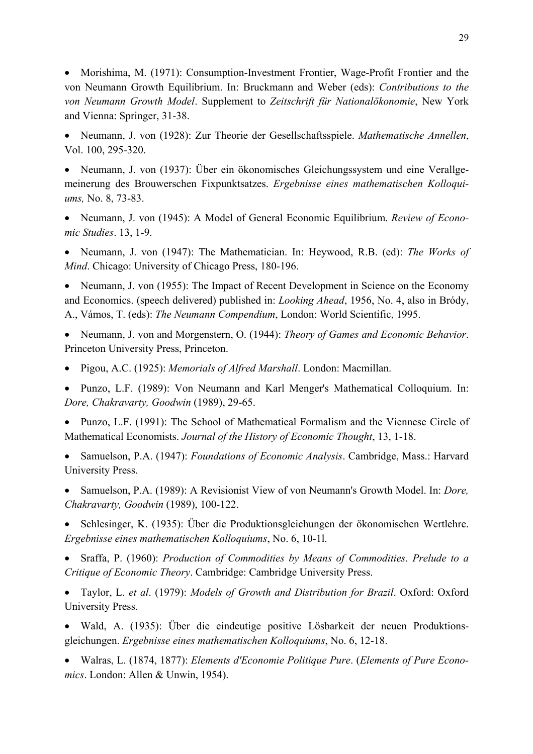• Morishima, M. (1971): Consumption-Investment Frontier, Wage-Profit Frontier and the von Neumann Growth Equilibrium. In: Bruckmann and Weber (eds): *Contributions to the von Neumann Growth Model*. Supplement to *Zeitschrift für Nationalökonomie*, New York and Vienna: Springer, 31-38.

• Neumann, J. von (1928): Zur Theorie der Gesellschaftsspiele. *Mathematische Annellen*, Vol. 100, 295-320.

• Neumann, J. von (1937): Über ein ökonomisches Gleichungssystem und eine Verallgemeinerung des Brouwerschen Fixpunktsatzes. *Ergebnisse eines mathematischen Kolloquiums,* No. 8, 73-83.

• Neumann, J. von (1945): A Model of General Economic Equilibrium. *Review of Economic Studies*. 13, 1-9.

• Neumann, J. von (1947): The Mathematician. In: Heywood, R.B. (ed): *The Works of Mind*. Chicago: University of Chicago Press, 180-196.

• Neumann, J. von (1955): The Impact of Recent Development in Science on the Economy and Economics. (speech delivered) published in: *Looking Ahead*, 1956, No. 4, also in Bródy, A., Vámos, T. (eds): *The Neumann Compendium*, London: World Scientific, 1995.

• Neumann, J. von and Morgenstern, O. (1944): *Theory of Games and Economic Behavior*. Princeton University Press, Princeton.

• Pigou, A.C. (1925): *Memorials of Alfred Marshall*. London: Macmillan.

• Punzo, L.F. (1989): Von Neumann and Karl Menger's Mathematical Colloquium. In: *Dore, Chakravarty, Goodwin* (1989), 29-65.

• Punzo, L.F. (1991): The School of Mathematical Formalism and the Viennese Circle of Mathematical Economists. *Journal of the History of Economic Thought*, 13, 1-18.

• Samuelson, P.A. (1947): *Foundations of Economic Analysis*. Cambridge, Mass.: Harvard University Press.

• Samuelson, P.A. (1989): A Revisionist View of von Neumann's Growth Model. In: *Dore, Chakravarty, Goodwin* (1989), 100-122.

• Schlesinger, K. (1935): Über die Produktionsgleichungen der ökonomischen Wertlehre. *Ergebnisse eines mathematischen Kolloquiums*, No. 6, 10-1l.

• Sraffa, P. (1960): *Production of Commodities by Means of Commodities*. *Prelude to a Critique of Economic Theory*. Cambridge: Cambridge University Press.

• Taylor, L. *et al*. (1979): *Models of Growth and Distribution for Brazil*. Oxford: Oxford University Press.

• Wald, A. (1935): Über die eindeutige positive Lösbarkeit der neuen Produktionsgleichungen. *Ergebnisse eines mathematischen Kolloquiums*, No. 6, 12-18.

• Walras, L. (1874, 1877): *Elements d'Economie Politique Pure*. (*Elements of Pure Economics*. London: Allen & Unwin, 1954).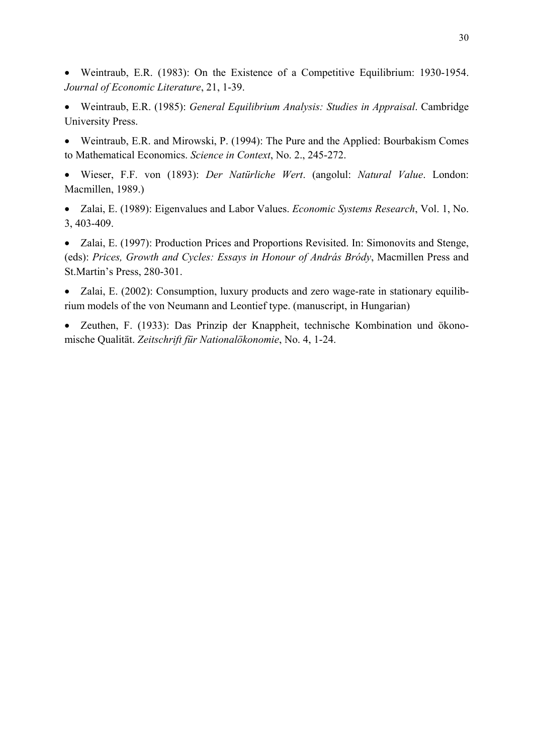• Weintraub, E.R. (1983): On the Existence of a Competitive Equilibrium: 1930-1954. *Journal of Economic Literature*, 21, 1-39.

• Weintraub, E.R. (1985): *General Equilibrium Analysis: Studies in Appraisal*. Cambridge University Press.

• Weintraub, E.R. and Mirowski, P. (1994): The Pure and the Applied: Bourbakism Comes to Mathematical Economics. *Science in Context*, No. 2., 245-272.

• Wieser, F.F. von (1893): *Der Natürliche Wert*. (angolul: *Natural Value*. London: Macmillen, 1989.)

• Zalai, E. (1989): Eigenvalues and Labor Values. *Economic Systems Research*, Vol. 1, No. 3, 403-409.

• Zalai, E. (1997): Production Prices and Proportions Revisited. In: Simonovits and Stenge, (eds): *Prices, Growth and Cycles: Essays in Honour of András Bródy*, Macmillen Press and St.Martin's Press, 280-301.

• Zalai, E. (2002): Consumption, luxury products and zero wage-rate in stationary equilibrium models of the von Neumann and Leontief type. (manuscript, in Hungarian)

• Zeuthen, F. (1933): Das Prinzip der Knappheit, technische Kombination und ökonomische Qualität. *Zeitschrift für Nationalökonomie*, No. 4, 1-24.